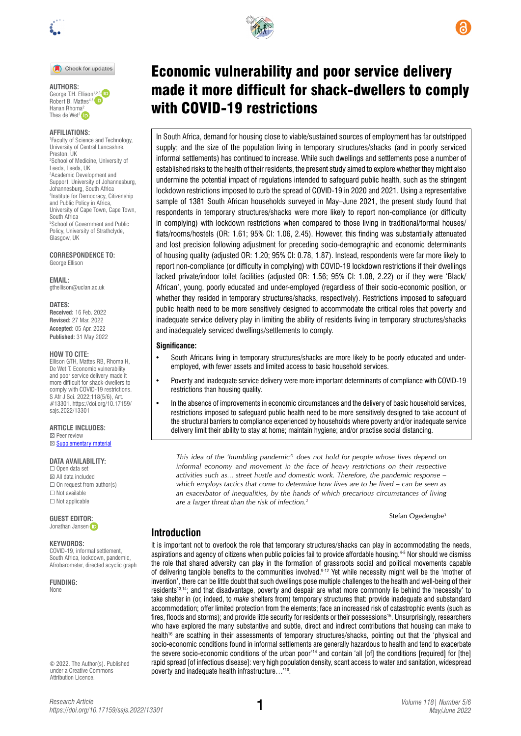

#### Check for updates

**AUTHORS:**  George T.H. Ellison<sup>1,2,3</sup> D Robert B. Mattes<sup>4,5</sup> Hanan Rhoma<sup>2</sup> Thea de Wet<sup>3</sup>

#### **AFFILIATIONS:**

1 Faculty of Science and Technology, University of Central Lancashire, Preston, UK 2 School of Medicine, University of Leeds, Leeds, UK 3 Academic Development and Support, University of Johannesburg, Johannesburg, South Africa 4 Institute for Democracy, Citizenship and Public Policy in Africa, University of Cape Town, Cape Town, South Africa<br><sup>5</sup>School of Government and Public Policy, University of Strathclyde, Glasgow, UK

**CORRESPONDENCE TO:**  George Ellison

**EMAIL:**  [gthellison@uclan.ac.uk](mailto:gthellison@uclan.ac.uk)

**DATES:**

**Received:** 16 Feb. 2022 **Revised:** 27 Mar. 2022 **Accepted:** 05 Apr. 2022 **Published:** 31 May 2022

#### **HOW TO CITE:**

Ellison GTH, Mattes RB, Rhoma H, De Wet T. Economic vulnerability and poor service delivery made it more difficult for shack-dwellers to comply with COVID-19 restrictions. S Afr J Sci. 2022;118(5/6), Art. #13301. [https://doi.org/10.17159/](https://doi.org/10.17159/sajs.2022/13301) [sajs.2022/13301](https://doi.org/10.17159/sajs.2022/13301)

#### **ARTICLE INCLUDES:**

☒ Peer review ⊠ [Supplementary material](https://doi.org/10.17159/sajs.2022/13301/suppl)

# **DATA AVAILABILITY:**

☐ Open data set ☒ All data included  $\Box$  On request from author(s) ☐ Not available ☐ Not applicable

#### **GUEST EDITO[R:](https://orcid.org/0000-0002-8614-5678)**

Jonathan Jansen ip

#### **KEYWORDS:**

COVID-19, informal settlement, South Africa, lockdown, pandemic, Afrobarometer, directed acyclic graph

**FUNDING:**  None

© 2022. The Author(s). Published under a [Creative Commons](https://creativecommons.org/licenses/by/4.0/)  [Attribution Licence.](https://creativecommons.org/licenses/by/4.0/)



# Economic vulnerability and poor service delivery made it more difficult for shack-dwellers to comply with COVID-19 restrictions

In South Africa, demand for housing close to viable/sustained sources of employment has far outstripped supply; and the size of the population living in temporary structures/shacks (and in poorly serviced informal settlements) has continued to increase. While such dwellings and settlements pose a number of established risks to the health of their residents, the present study aimed to explore whether they might also undermine the potential impact of regulations intended to safeguard public health, such as the stringent lockdown restrictions imposed to curb the spread of COVID-19 in 2020 and 2021. Using a representative sample of 1381 South African households surveyed in May–June 2021, the present study found that respondents in temporary structures/shacks were more likely to report non-compliance (or difficulty in complying) with lockdown restrictions when compared to those living in traditional/formal houses/ flats/rooms/hostels (OR: 1.61; 95% CI: 1.06, 2.45). However, this finding was substantially attenuated and lost precision following adjustment for preceding socio-demographic and economic determinants of housing quality (adjusted OR: 1.20; 95% CI: 0.78, 1.87). Instead, respondents were far more likely to report non-compliance (or difficulty in complying) with COVID-19 lockdown restrictions if their dwellings lacked private/indoor toilet facilities (adjusted OR: 1.56; 95% CI: 1.08, 2.22) or if they were 'Black/ African', young, poorly educated and under-employed (regardless of their socio-economic position, or whether they resided in temporary structures/shacks, respectively). Restrictions imposed to safeguard public health need to be more sensitively designed to accommodate the critical roles that poverty and inadequate service delivery play in limiting the ability of residents living in temporary structures/shacks and inadequately serviced dwellings/settlements to comply.

#### **Significance:**

- South Africans living in temporary structures/shacks are more likely to be poorly educated and underemployed, with fewer assets and limited access to basic household services.
- Poverty and inadequate service delivery were more important determinants of compliance with COVID-19 restrictions than housing quality.
- In the absence of improvements in economic circumstances and the delivery of basic household services, restrictions imposed to safeguard public health need to be more sensitively designed to take account of the structural barriers to compliance experienced by households where poverty and/or inadequate service delivery limit their ability to stay at home; maintain hygiene; and/or practise social distancing.

*This idea of the 'humbling pandemic'1 does not hold for people whose lives depend on informal economy and movement in the face of heavy restrictions on their respective activities such as… street hustle and domestic work. Therefore, the pandemic response – which employs tactics that come to determine how lives are to be lived – can be seen as an exacerbator of inequalities, by the hands of which precarious circumstances of living are a larger threat than the risk of infection.2*

Stefan Ogedengbe<sup>3</sup>

# **Introduction**

It is important not to overlook the role that temporary structures/shacks can play in accommodating the needs, aspirations and agency of citizens when public policies fail to provide affordable housing.<sup>4-8</sup> Nor should we dismiss the role that shared adversity can play in the formation of grassroots social and political movements capable of delivering tangible benefits to the communities involved.<sup>9-12</sup> Yet while necessity might well be the 'mother of invention', there can be little doubt that such dwellings pose multiple challenges to the health and well-being of their residents13,14; and that disadvantage, poverty and despair are what more commonly lie behind the 'necessity' to take shelter in (or, indeed, to *make* shelters from) temporary structures that: provide inadequate and substandard accommodation; offer limited protection from the elements; face an increased risk of catastrophic events (such as fires, floods and storms); and provide little security for residents or their possessions<sup>15</sup>. Unsurprisingly, researchers who have explored the many substantive and subtle, direct and indirect contributions that housing can make to health<sup>16</sup> are scathing in their assessments of temporary structures/shacks, pointing out that the 'physical and socio-economic conditions found in informal settlements are generally hazardous to health and tend to exacerbate the severe socio-economic conditions of the urban poor<sup>14</sup> and contain 'all [of] the conditions [required] for [the] rapid spread [of infectious disease]: very high population density, scant access to water and sanitation, widespread poverty and inadequate health infrastructure…'10.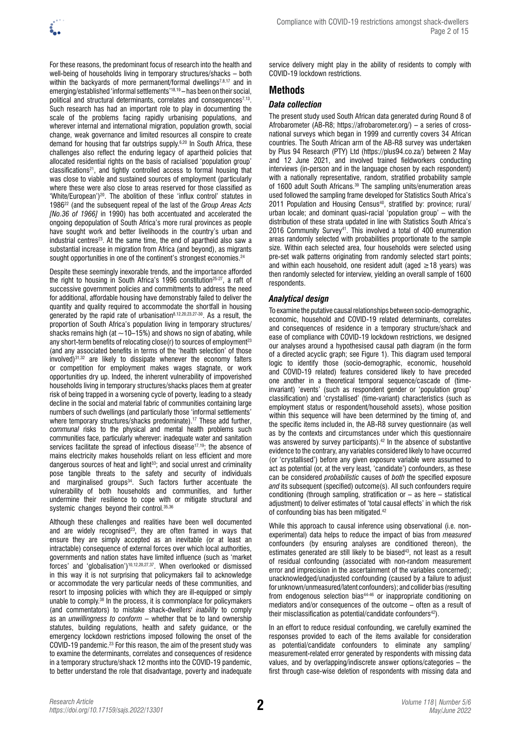

For these reasons, the predominant focus of research into the health and well-being of households living in temporary structures/shacks – both within the backyards of more permanent/formal dwellings<sup>7,8,17</sup> and in emerging/established 'informal settlements'18,19 – has been on their social, political and structural determinants, correlates and consequences<sup>7,13</sup>. Such research has had an important role to play in documenting the scale of the problems facing rapidly urbanising populations, and wherever internal and international migration, population growth, social change, weak governance and limited resources all conspire to create demand for housing that far outstrips supply.<sup>6,20</sup> In South Africa, these challenges also reflect the enduring legacy of apartheid policies that allocated residential rights on the basis of racialised 'population group' classifications<sup>21</sup>, and tightly controlled access to formal housing that was close to viable and sustained sources of employment (particularly where these were also close to areas reserved for those classified as 'White/European')20. The abolition of these 'influx control' statutes in 198622 (and the subsequent repeal of the last of the *Group Areas Acts [No.36 of 1966]* in 1990) has both accentuated and accelerated the ongoing depopulation of South Africa's more rural provinces as people have sought work and better livelihoods in the country's urban and industrial centres<sup>23</sup>. At the same time, the end of apartheid also saw a substantial increase in migration from Africa (and beyond), as migrants sought opportunities in one of the continent's strongest economies.<sup>24</sup>

Despite these seemingly inexorable trends, and the importance afforded the right to housing in South Africa's 1996 constitution<sup>25-27</sup>, a raft of successive government policies and commitments to address the need for additional, affordable housing have demonstrably failed to deliver the quantity and quality required to accommodate the shortfall in housing generated by the rapid rate of urbanisation8,12,20,23,27-30. As a result, the proportion of South Africa's population living in temporary structures/ shacks remains high (at  $\sim$ 10–15%) and shows no sign of abating, while any short-term benefits of relocating close(r) to sources of employment<sup>23</sup> (and any associated benefits in terms of the 'health selection' of those involved) $31,32$  are likely to dissipate whenever the economy falters or competition for employment makes wages stagnate, or work opportunities dry up. Indeed, the inherent vulnerability of impoverished households living in temporary structures/shacks places them at greater risk of being trapped in a worsening cycle of poverty, leading to a steady decline in the social and material fabric of communities containing large numbers of such dwellings (and particularly those 'informal settlements' where temporary structures/shacks predominate).<sup>17</sup> These add further, *communal* risks to the physical and mental health problems such communities face, particularly wherever: inadequate water and sanitation services facilitate the spread of infectious disease<sup>17,19</sup>; the absence of mains electricity makes households reliant on less efficient and more dangerous sources of heat and light<sup>33</sup>; and social unrest and criminality pose tangible threats to the safety and security of individuals and marginalised groups<sup>34</sup>. Such factors further accentuate the vulnerability of both households and communities, and further undermine their resilience to cope with or mitigate structural and systemic changes beyond their control. 35,36

Although these challenges and realities have been well documented and are widely recognised<sup>23</sup>, they are often framed in ways that ensure they are simply accepted as an inevitable (or at least an intractable) consequence of external forces over which local authorities, governments and nation states have limited influence (such as 'market forces' and 'globalisation')10,12,20,27,37. When overlooked or dismissed in this way it is not surprising that policymakers fail to acknowledge or accommodate the very particular needs of these communities, and resort to imposing policies with which they are ill-equipped or simply unable to comply.38 In the process, it is commonplace for policymakers (and commentators) to mistake shack-dwellers' *inability* to comply as an *unwillingness to conform* – whether that be to land ownership statutes, building regulations, health and safety guidance, or the emergency lockdown restrictions imposed following the onset of the COVID-19 pandemic.23 For this reason, the aim of the present study was to examine the determinants, correlates and consequences of residence in a temporary structure/shack 12 months into the COVID-19 pandemic, to better understand the role that disadvantage, poverty and inadequate

service delivery might play in the ability of residents to comply with COVID-19 lockdown restrictions.

# **Methods**

# *Data collection*

The present study used South African data generated during Round 8 of Afrobarometer (AB-R8; <https://afrobarometer.org/>) – a series of crossnational surveys which began in 1999 and currently covers 34 African countries. The South African arm of the AB-R8 survey was undertaken by Plus 94 Research (PTY) Ltd (<https://plus94.co.za/>) between 2 May and 12 June 2021, and involved trained fieldworkers conducting interviews (in-person and in the language chosen by each respondent) with a nationally representative, random, stratified probability sample of 1600 adult South Africans.39 The sampling units/enumeration areas used followed the sampling frame developed for Statistics South Africa's 2011 Population and Housing Census<sup>40</sup>, stratified by: province: rural/ urban locale; and dominant quasi-racial 'population group' – with the distribution of these strata updated in line with Statistics South Africa's 2016 Community Survey41. This involved a total of 400 enumeration areas randomly selected with probabilities proportionate to the sample size. Within each selected area, four households were selected using pre-set walk patterns originating from randomly selected start points; and within each household, one resident adult (aged  $\geq$  18 years) was then randomly selected for interview, yielding an overall sample of 1600 respondents.

# *Analytical design*

To examine the putative causal relationships between socio-demographic, economic, household and COVID-19 related determinants, correlates and consequences of residence in a temporary structure/shack and ease of compliance with COVID-19 lockdown restrictions, we designed our analyses around a hypothesised causal path diagram (in the form of a directed acyclic graph; see Figure 1). This diagram used temporal logic to identify those (socio-demographic, economic, household and COVID-19 related) features considered likely to have preceded one another in a theoretical temporal sequence/cascade of (timeinvariant) 'events' (such as respondent gender or 'population group' classification) and 'crystallised' (time-variant) characteristics (such as employment status or respondent/household assets), whose position within this sequence will have been determined by the timing of, and the specific items included in, the AB-R8 survey questionnaire (as well as by the contexts and circumstances under which this questionnaire was answered by survey participants).<sup>42</sup> In the absence of substantive evidence to the contrary, any variables considered likely to have occurred (or 'crystallised') before any given exposure variable were assumed to act as potential (or, at the very least, 'candidate') confounders, as these can be considered *probabilistic* causes of *both* the specified exposure *and* its subsequent (specified) outcome(s). All such confounders require conditioning (through sampling, stratification or – as here – statistical adjustment) to deliver estimates of 'total causal effects' in which the risk of confounding bias has been mitigated.<sup>42</sup>

While this approach to causal inference using observational (i.e. nonexperimental) data helps to reduce the impact of bias from *measured* confounders (by ensuring analyses are conditioned thereon), the estimates generated are still likely to be biased<sup>43</sup>, not least as a result of residual confounding (associated with non-random measurement error and imprecision in the ascertainment of the variables concerned); unacknowledged/unadjusted confounding (caused by a failure to adjust for unknown/unmeasured/latent confounders); and collider bias (resulting from endogenous selection bias<sup>44-46</sup> or inappropriate conditioning on mediators and/or consequences of the outcome – often as a result of their misclassification as potential/candidate confounders<sup>42</sup>).

In an effort to reduce residual confounding, we carefully examined the responses provided to each of the items available for consideration as potential/candidate confounders to eliminate any sampling/ measurement-related error generated by respondents with missing data values, and by overlapping/indiscrete answer options/categories – the first through case-wise deletion of respondents with missing data and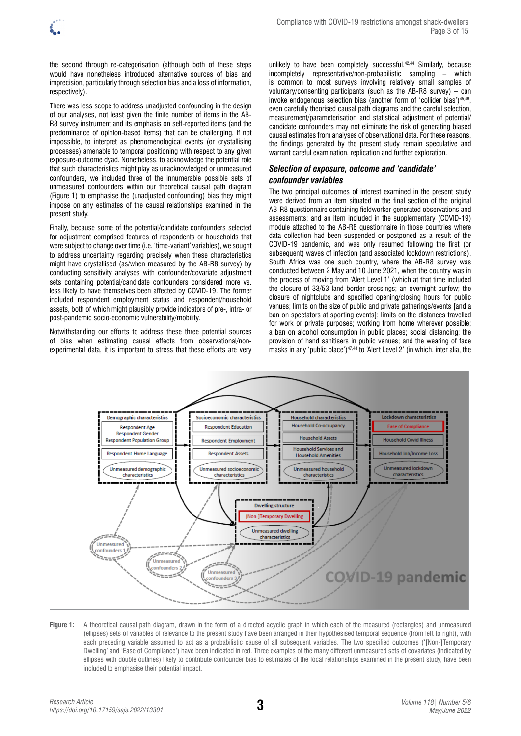

the second through re-categorisation (although both of these steps would have nonetheless introduced alternative sources of bias and imprecision, particularly through selection bias and a loss of information, respectively).

There was less scope to address unadjusted confounding in the design of our analyses, not least given the finite number of items in the AB-R8 survey instrument and its emphasis on self-reported items (and the predominance of opinion-based items) that can be challenging, if not impossible, to interpret as phenomenological events (or crystallising processes) amenable to temporal positioning with respect to any given exposure-outcome dyad. Nonetheless, to acknowledge the potential role that such characteristics might play as unacknowledged or unmeasured confounders, we included three of the innumerable possible sets of unmeasured confounders within our theoretical causal path diagram (Figure 1) to emphasise the (unadjusted confounding) bias they might impose on any estimates of the causal relationships examined in the present study.

Finally, because some of the potential/candidate confounders selected for adjustment comprised features of respondents or households that were subject to change over time (i.e. 'time-variant' variables), we sought to address uncertainty regarding precisely when these characteristics might have crystallised (as/when measured by the AB-R8 survey) by conducting sensitivity analyses with confounder/covariate adjustment sets containing potential/candidate confounders considered more vs. less likely to have themselves been affected by COVID-19. The former included respondent employment status and respondent/household assets, both of which might plausibly provide indicators of pre-, intra- or post-pandemic socio-economic vulnerability/mobility.

Notwithstanding our efforts to address these three potential sources of bias when estimating causal effects from observational/nonexperimental data, it is important to stress that these efforts are very

unlikely to have been completely successful.<sup>42,44</sup> Similarly, because incompletely representative/non-probabilistic sampling – which is common to most surveys involving relatively small samples of voluntary/consenting participants (such as the AB-R8 survey) – can invoke endogenous selection bias (another form of 'collider bias')45,46, even carefully theorised causal path diagrams and the careful selection, measurement/parameterisation and statistical adjustment of potential/ candidate confounders may not eliminate the risk of generating biased causal estimates from analyses of observational data. For these reasons, the findings generated by the present study remain speculative and warrant careful examination, replication and further exploration.

# *Selection of exposure, outcome and 'candidate' confounder variables*

The two principal outcomes of interest examined in the present study were derived from an item situated in the final section of the original AB-R8 questionnaire containing fieldworker-generated observations and assessments; and an item included in the supplementary (COVID-19) module attached to the AB-R8 questionnaire in those countries where data collection had been suspended or postponed as a result of the COVID-19 pandemic, and was only resumed following the first (or subsequent) waves of infection (and associated lockdown restrictions). South Africa was one such country, where the AB-R8 survey was conducted between 2 May and 10 June 2021, when the country was in the process of moving from 'Alert Level 1' (which at that time included the closure of 33/53 land border crossings; an overnight curfew; the closure of nightclubs and specified opening/closing hours for public venues; limits on the size of public and private gatherings/events [and a ban on spectators at sporting events]; limits on the distances travelled for work or private purposes; working from home wherever possible; a ban on alcohol consumption in public places; social distancing; the provision of hand sanitisers in public venues; and the wearing of face masks in any 'public place')47,48 to 'Alert Level 2' (in which, inter alia, the



**Figure 1:** A theoretical causal path diagram, drawn in the form of a directed acyclic graph in which each of the measured (rectangles) and unmeasured (ellipses) sets of variables of relevance to the present study have been arranged in their hypothesised temporal sequence (from left to right), with each preceding variable assumed to act as a probabilistic cause of all subsequent variables. The two specified outcomes ('[Non-]Temporary Dwelling' and 'Ease of Compliance') have been indicated in red. Three examples of the many different unmeasured sets of covariates (indicated by ellipses with double outlines) likely to contribute confounder bias to estimates of the focal relationships examined in the present study, have been included to emphasise their potential impact.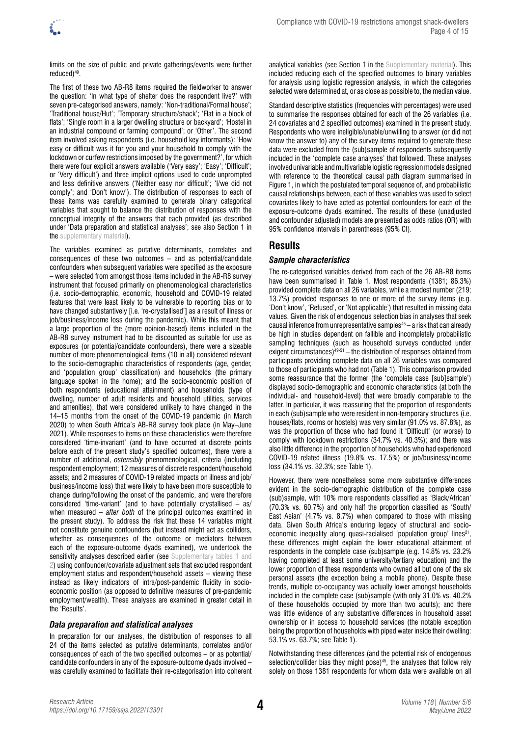

limits on the size of public and private gatherings/events were further reduced)49.

The first of these two AB-R8 items required the fieldworker to answer the question: 'In what type of shelter does the respondent live?' with seven pre-categorised answers, namely: 'Non-traditional/Formal house'; 'Traditional house/Hut'; 'Temporary structure/shack'; 'Flat in a block of flats'; 'Single room in a larger dwelling structure or backyard'; 'Hostel in an industrial compound or farming compound'; or 'Other'. The second item involved asking respondents (i.e. household key informants): 'How easy or difficult was it for you and your household to comply with the lockdown or curfew restrictions imposed by the government?', for which there were four explicit answers available ('Very easy'; 'Easy'; 'Difficult'; or 'Very difficult') and three implicit options used to code unprompted and less definitive answers ('Neither easy nor difficult'; 'I/we did not comply'; and 'Don't know'). The distribution of responses to each of these items was carefully examined to generate binary categorical variables that sought to balance the distribution of responses with the conceptual integrity of the answers that each provided (as described under 'Data preparation and statistical analyses'; see also [Section 1 in](https://doi.org/10.17159/sajs.2022/13301/suppl)  [the supplementary material](https://doi.org/10.17159/sajs.2022/13301/suppl)).

The variables examined as putative determinants, correlates and consequences of these two outcomes – and as potential/candidate confounders when subsequent variables were specified as the exposure – were selected from amongst those items included in the AB-R8 survey instrument that focused primarily on phenomenological characteristics (i.e. socio-demographic, economic, household and COVID-19 related features that were least likely to be vulnerable to reporting bias or to have changed substantively [i.e. 're-crystallised'] as a result of illness or job/business/income loss during the pandemic). While this meant that a large proportion of the (more opinion-based) items included in the AB-R8 survey instrument had to be discounted as suitable for use as exposures (or potential/candidate confounders), there were a sizeable number of more phenomenological items (10 in all) considered relevant to the socio-demographic characteristics of respondents (age, gender, and 'population group' classification) and households (the primary language spoken in the home); and the socio-economic position of both respondents (educational attainment) and households (type of dwelling, number of adult residents and household utilities, services and amenities), that were considered unlikely to have changed in the 14–15 months from the onset of the COVID-19 pandemic (in March 2020) to when South Africa's AB-R8 survey took place (in May–June 2021). While responses to items on these characteristics were therefore considered 'time-invariant' (and to have occurred at discrete points before each of the present study's specified outcomes), there were a number of additional, *ostensibly* phenomenological, criteria (including respondent employment; 12 measures of discrete respondent/household assets; and 2 measures of COVID-19 related impacts on illness and job/ business/income loss) that were likely to have been more susceptible to change during/following the onset of the pandemic, and were therefore considered 'time-variant' (and to have potentially crystallised – as/ when measured – *after both* of the principal outcomes examined in the present study). To address the risk that these 14 variables might not constitute genuine confounders (but instead might act as colliders, whether as consequences of the outcome or mediators between each of the exposure-outcome dyads examined), we undertook the sensitivity analyses described earlier (see Supplementary tables 1 and [2\)](https://doi.org/10.17159/sajs.2022/13301/suppl) using confounder/covariate adjustment sets that excluded respondent employment status and respondent/household assets – viewing these instead as likely indicators of intra/post-pandemic fluidity in socioeconomic position (as opposed to definitive measures of pre-pandemic employment/wealth). These analyses are examined in greater detail in the 'Results'.

### *Data preparation and statistical analyses*

In preparation for our analyses, the distribution of responses to all 24 of the items selected as putative determinants, correlates and/or consequences of each of the two specified outcomes – or as potential/ candidate confounders in any of the exposure-outcome dyads involved – was carefully examined to facilitate their re-categorisation into coherent

analytical variables (see [Section 1 in the Supplementary material\)](https://doi.org/10.17159/sajs.2022/13301/suppl). This included reducing each of the specified outcomes to binary variables for analysis using logistic regression analysis, in which the categories selected were determined at, or as close as possible to, the median value.

Standard descriptive statistics (frequencies with percentages) were used to summarise the responses obtained for each of the 26 variables (i.e. 24 covariates and 2 specified outcomes) examined in the present study. Respondents who were ineligible/unable/unwilling to answer (or did not know the answer to) any of the survey items required to generate these data were excluded from the (sub)sample of respondents subsequently included in the 'complete case analyses' that followed. These analyses involved univariable and multivariable logistic regression models designed with reference to the theoretical causal path diagram summarised in Figure 1, in which the postulated temporal sequence of, and probabilistic causal relationships between, each of these variables was used to select covariates likely to have acted as potential confounders for each of the exposure-outcome dyads examined. The results of these (unadjusted and confounder adjusted) models are presented as odds ratios (OR) with 95% confidence intervals in parentheses (95% CI).

# **Results**

### *Sample characteristics*

The re-categorised variables derived from each of the 26 AB-R8 items have been summarised in Table 1. Most respondents (1381; 86.3%) provided complete data on all 26 variables, while a modest number (219; 13.7%) provided responses to one or more of the survey items (e.g. 'Don't know', 'Refused', or 'Not applicable') that resulted in missing data values. Given the risk of endogenous selection bias in analyses that seek causal inference from unrepresentative samples $45 - a$  risk that can already be high in studies dependent on fallible and incompletely probabilistic sampling techniques (such as household surveys conducted under exigent circumstances)<sup>49-51</sup> – the distribution of responses obtained from participants providing complete data on all 26 variables was compared to those of participants who had not (Table 1). This comparison provided some reassurance that the former (the 'complete case [sub]sample') displayed socio-demographic and economic characteristics (at both the individual- and household-level) that were broadly comparable to the latter. In particular, it was reassuring that the proportion of respondents in each (sub)sample who were resident in non-temporary structures (i.e. houses/flats, rooms or hostels) was very similar (91.0% vs. 87.8%), as was the proportion of those who had found it 'Difficult' (or worse) to comply with lockdown restrictions (34.7% vs. 40.3%); and there was also little difference in the proportion of households who had experienced COVID-19 related illness (19.8% vs. 17.5%) or job/business/income loss (34.1% vs. 32.3%; see Table 1).

However, there were nonetheless some more substantive differences evident in the socio-demographic distribution of the complete case (sub)sample, with 10% more respondents classified as 'Black/African' (70.3% vs. 60.7%) and only half the proportion classified as 'South/ East Asian' (4.7% vs. 8.7%) when compared to those with missing data. Given South Africa's enduring legacy of structural and socioeconomic inequality along quasi-racialised 'population group' lines<sup>21</sup>, these differences might explain the lower educational attainment of respondents in the complete case (sub)sample (e.g. 14.8% vs. 23.2% having completed at least some university/tertiary education) and the lower proportion of these respondents who owned all but one of the six personal assets (the exception being a mobile phone). Despite these trends, multiple co-occupancy was actually lower amongst households included in the complete case (sub)sample (with only 31.0% vs. 40.2% of these households occupied by more than two adults); and there was little evidence of any substantive differences in household asset ownership or in access to household services (the notable exception being the proportion of households with piped water inside their dwelling: 53.1% vs. 63.7%; see Table 1).

Notwithstanding these differences (and the potential risk of endogenous selection/collider bias they might pose) $45$ , the analyses that follow rely solely on those 1381 respondents for whom data were available on all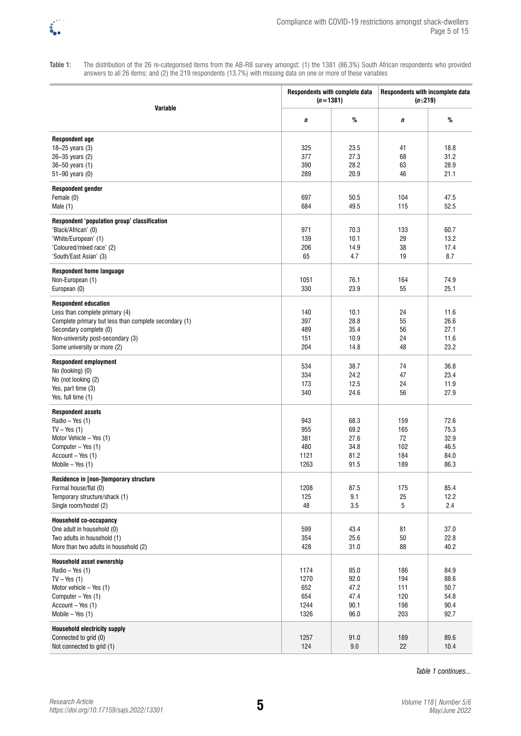

**Table 1:** The distribution of the 26 re-categorised items from the AB-R8 survey amongst: (1) the 1381 (86.3%) South African respondents who provided answers to all 26 items; and (2) the 219 respondents (13.7%) with missing data on one or more of these variables

| Variable                                                                                                                                                                                                             | Respondents with complete data<br>$(n=1381)$ |                                              | Respondents with incomplete data<br>$(n \leq 219)$ |                                              |
|----------------------------------------------------------------------------------------------------------------------------------------------------------------------------------------------------------------------|----------------------------------------------|----------------------------------------------|----------------------------------------------------|----------------------------------------------|
|                                                                                                                                                                                                                      | п                                            | $\%$                                         | п                                                  | $\%$                                         |
| <b>Respondent age</b><br>18 $-25$ years (3)<br>26-35 years (2)<br>36-50 years (1)<br>51-90 years (0)                                                                                                                 | 325<br>377<br>390<br>289                     | 23.5<br>27.3<br>28.2<br>20.9                 | 41<br>68<br>63<br>46                               | 18.8<br>31.2<br>28.9<br>21.1                 |
| <b>Respondent gender</b><br>Female (0)<br>Male $(1)$                                                                                                                                                                 | 697<br>684                                   | 50.5<br>49.5                                 | 104<br>115                                         | 47.5<br>52.5                                 |
| Respondent 'population group' classification<br>'Black/African' (0)<br>'White/European' (1)<br>'Coloured/mixed race' (2)<br>'South/East Asian' (3)                                                                   | 971<br>139<br>206<br>65                      | 70.3<br>10.1<br>14.9<br>4.7                  | 133<br>29<br>38<br>19                              | 60.7<br>13.2<br>17.4<br>8.7                  |
| <b>Respondent home language</b><br>Non-European (1)<br>European (0)                                                                                                                                                  | 1051<br>330                                  | 76.1<br>23.9                                 | 164<br>55                                          | 74.9<br>25.1                                 |
| <b>Respondent education</b><br>Less than complete primary (4)<br>Complete primary but less than complete secondary (1)<br>Secondary complete (0)<br>Non-university post-secondary (3)<br>Some university or more (2) | 140<br>397<br>489<br>151<br>204              | 10.1<br>28.8<br>35.4<br>10.9<br>14.8         | 24<br>55<br>56<br>24<br>48                         | 11.6<br>26.6<br>27.1<br>11.6<br>23.2         |
| <b>Respondent employment</b><br>No (looking) (0)<br>No (not looking (2)<br>Yes, part time (3)<br>Yes, full time (1)                                                                                                  | 534<br>334<br>173<br>340                     | 38.7<br>24.2<br>12.5<br>24.6                 | 74<br>47<br>24<br>56                               | 36.8<br>23.4<br>11.9<br>27.9                 |
| <b>Respondent assets</b><br>Radio - Yes (1)<br>$TV - Yes$ (1)<br>Motor Vehicle - Yes (1)<br>Computer - Yes (1)<br>Account - Yes (1)<br>Mobile $-$ Yes $(1)$                                                          | 943<br>955<br>381<br>480<br>1121<br>1263     | 68.3<br>69.2<br>27.6<br>34.8<br>81.2<br>91.5 | 159<br>165<br>72<br>102<br>184<br>189              | 72.6<br>75.3<br>32.9<br>46.5<br>84.0<br>86.3 |
| Residence in [non-]temporary structure<br>Formal house/flat (0)<br>Temporary structure/shack (1)<br>Single room/hostel (2)                                                                                           | 1208<br>125<br>48                            | 87.5<br>9.1<br>3.5                           | 175<br>25<br>5                                     | 85.4<br>12.2<br>2.4                          |
| Household co-occupancy<br>One adult in household (0)<br>Two adults in household (1)<br>More than two adults in household (2)                                                                                         | 599<br>354<br>428                            | 43.4<br>25.6<br>31.0                         | 81<br>50<br>88                                     | 37.0<br>22.8<br>40.2                         |
| <b>Household asset ownership</b><br>Radio - Yes (1)<br>$TV - Yes$ (1)<br>Motor vehicle $-$ Yes (1)<br>Computer - Yes (1)<br>Account - Yes (1)<br>Mobile $-$ Yes $(1)$                                                | 1174<br>1270<br>652<br>654<br>1244<br>1326   | 85.0<br>92.0<br>47.2<br>47.4<br>90.1<br>96.0 | 186<br>194<br>111<br>120<br>198<br>203             | 84.9<br>88.6<br>50.7<br>54.8<br>90.4<br>92.7 |
| <b>Household electricity supply</b><br>Connected to grid (0)<br>Not connected to grid (1)                                                                                                                            | 1257<br>124                                  | 91.0<br>9.0                                  | 189<br>22                                          | 89.6<br>10.4                                 |

*Table 1 continues...*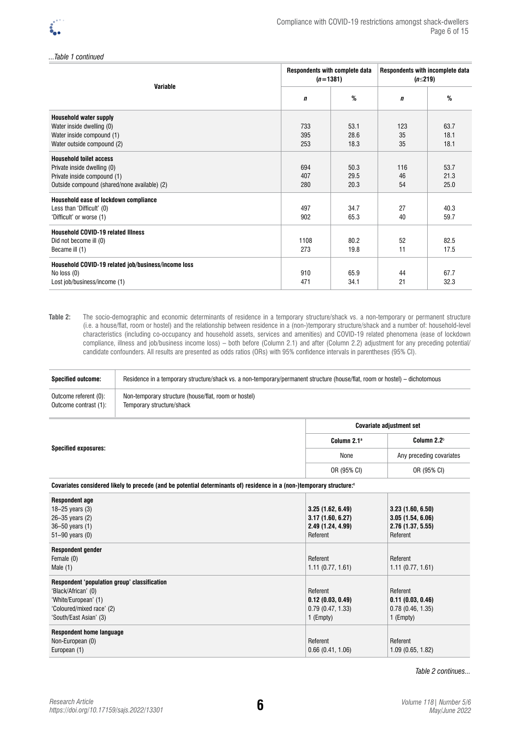*...Table 1 continued*

| <b>Variable</b>                                     | Respondents with complete data<br>$(n=1381)$ |      | Respondents with incomplete data<br>(n≤219) |      |
|-----------------------------------------------------|----------------------------------------------|------|---------------------------------------------|------|
|                                                     | $\mathbf n$                                  | %    | $\mathbf n$                                 | %    |
| <b>Household water supply</b>                       |                                              |      |                                             |      |
| Water inside dwelling (0)                           | 733                                          | 53.1 | 123                                         | 63.7 |
| Water inside compound (1)                           | 395                                          | 28.6 | 35                                          | 18.1 |
| Water outside compound (2)                          | 253                                          | 18.3 | 35                                          | 18.1 |
| <b>Household toilet access</b>                      |                                              |      |                                             |      |
| Private inside dwelling (0)                         | 694                                          | 50.3 | 116                                         | 53.7 |
| Private inside compound (1)                         | 407                                          | 29.5 | 46                                          | 21.3 |
| Outside compound (shared/none available) (2)        | 280                                          | 20.3 | 54                                          | 25.0 |
| Household ease of lockdown compliance               |                                              |      |                                             |      |
| Less than 'Difficult' (0)                           | 497                                          | 34.7 | 27                                          | 40.3 |
| 'Difficult' or worse (1)                            | 902                                          | 65.3 | 40                                          | 59.7 |
| <b>Household COVID-19 related Illness</b>           |                                              |      |                                             |      |
| Did not become ill (0)                              | 1108                                         | 80.2 | 52                                          | 82.5 |
| Became ill (1)                                      | 273                                          | 19.8 | 11                                          | 17.5 |
| Household COVID-19 related job/business/income loss |                                              |      |                                             |      |
| No loss $(0)$                                       | 910                                          | 65.9 | 44                                          | 67.7 |
| Lost job/business/income (1)                        | 471                                          | 34.1 | 21                                          | 32.3 |

#### **Table 2:** The socio-demographic and economic determinants of residence in a temporary structure/shack vs. a non-temporary or permanent structure (i.e. a house/flat, room or hostel) and the relationship between residence in a (non-)temporary structure/shack and a number of: household-level characteristics (including co-occupancy and household assets, services and amenities) and COVID-19 related phenomena (ease of lockdown compliance, illness and job/business income loss) – both before (Column 2.1) and after (Column 2.2) adjustment for any preceding potential/ candidate confounders. All results are presented as odds ratios (ORs) with 95% confidence intervals in parentheses (95% CI).

| <b>Specified outcome:</b> | Residence in a temporary structure/shack vs. a non-temporary/permanent structure (house/flat, room or hostel) – dichotomous |
|---------------------------|-----------------------------------------------------------------------------------------------------------------------------|
| Outcome referent (0):     | Non-temporary structure (house/flat, room or hostel)                                                                        |
| Outcome contrast (1):     | Temporary structure/shack                                                                                                   |

| <b>Specified exposures:</b> | <b>Covariate adjustment set</b> |                          |  |
|-----------------------------|---------------------------------|--------------------------|--|
|                             | Column 2.1 <sup>a</sup>         | Column 2.2 <sup>b</sup>  |  |
|                             | None                            | Any preceding covariates |  |
|                             | OR (95% CI)                     | OR (95% CI)              |  |

#### Covariates considered likely to precede (and be potential determinants of) residence in a (non-)temporary structure:<sup>c</sup>

| <b>Respondent age</b><br>18-25 years $(3)$<br>26-35 years (2)<br>36-50 years (1)<br>51-90 years (0)                                                | 3.25(1.62, 6.49)<br>3.17(1.60, 6.27)<br>2.49 (1.24, 4.99)<br>Referent | 3.23(1.60, 6.50)<br>3.05(1.54, 6.06)<br>2.76 (1.37, 5.55)<br>Referent |
|----------------------------------------------------------------------------------------------------------------------------------------------------|-----------------------------------------------------------------------|-----------------------------------------------------------------------|
| <b>Respondent gender</b><br>Female (0)<br>Male $(1)$                                                                                               | Referent<br>1.11(0.77, 1.61)                                          | Referent<br>1.11(0.77, 1.61)                                          |
| Respondent 'population group' classification<br>'Black/African' (0)<br>'White/European' (1)<br>'Coloured/mixed race' (2)<br>'South/East Asian' (3) | Referent<br>0.12(0.03, 0.49)<br>0.79(0.47, 1.33)<br>1 (Empty)         | Referent<br>0.11(0.03, 0.46)<br>0.78(0.46, 1.35)<br>1 (Empty)         |
| Respondent home language<br>Non-European (0)<br>European (1)                                                                                       | Referent<br>0.66(0.41, 1.06)                                          | Referent<br>1.09(0.65, 1.82)                                          |

*Table 2 continues...*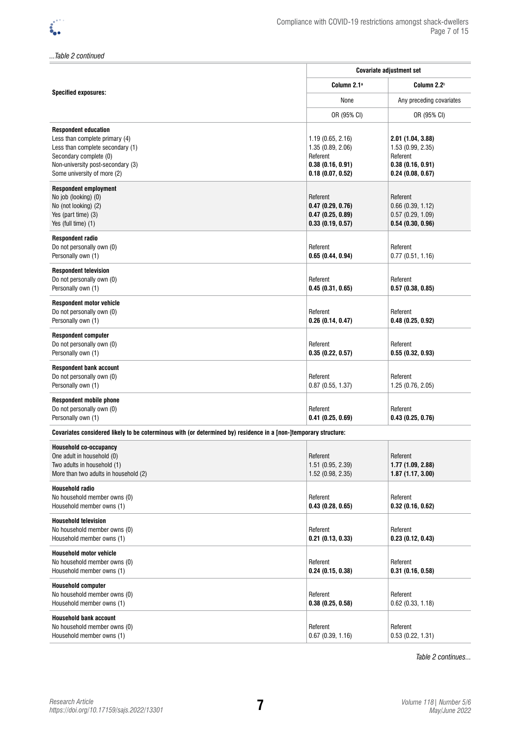*...Table 2 continued*

|                                                                                                                                                                                                 | <b>Covariate adjustment set</b>                                                           |                                                                                            |  |
|-------------------------------------------------------------------------------------------------------------------------------------------------------------------------------------------------|-------------------------------------------------------------------------------------------|--------------------------------------------------------------------------------------------|--|
| <b>Specified exposures:</b>                                                                                                                                                                     | Column 2.1 <sup>a</sup>                                                                   | Column 2.2 <sup>b</sup>                                                                    |  |
|                                                                                                                                                                                                 | None                                                                                      | Any preceding covariates                                                                   |  |
|                                                                                                                                                                                                 | OR (95% CI)                                                                               | OR (95% CI)                                                                                |  |
| <b>Respondent education</b><br>Less than complete primary (4)<br>Less than complete secondary (1)<br>Secondary complete (0)<br>Non-university post-secondary (3)<br>Some university of more (2) | 1.19(0.65, 2.16)<br>1.35 (0.89, 2.06)<br>Referent<br>0.38(0.16, 0.91)<br>0.18(0.07, 0.52) | 2.01 (1.04, 3.88)<br>1.53 (0.99, 2.35)<br>Referent<br>0.38(0.16, 0.91)<br>0.24(0.08, 0.67) |  |
| <b>Respondent employment</b><br>No job (looking) (0)<br>No (not looking) (2)<br>Yes (part time) (3)<br>Yes (full time) (1)                                                                      | Referent<br>0.47(0.29, 0.76)<br>0.47(0.25, 0.89)<br>0.33(0.19, 0.57)                      | Referent<br>$0.66$ $(0.39, 1.12)$<br>0.57(0.29, 1.09)<br>0.54(0.30, 0.96)                  |  |
| Respondent radio<br>Do not personally own (0)<br>Personally own (1)                                                                                                                             | Referent<br>0.65(0.44, 0.94)                                                              | Referent<br>0.77(0.51, 1.16)                                                               |  |
| <b>Respondent television</b><br>Do not personally own (0)<br>Personally own (1)                                                                                                                 | Referent<br>0.45(0.31, 0.65)                                                              | Referent<br>0.57(0.38, 0.85)                                                               |  |
| <b>Respondent motor vehicle</b><br>Do not personally own (0)<br>Personally own (1)                                                                                                              | Referent<br>0.26(0.14, 0.47)                                                              | Referent<br>0.48(0.25, 0.92)                                                               |  |
| <b>Respondent computer</b><br>Do not personally own (0)<br>Personally own (1)                                                                                                                   | Referent<br>0.35(0.22, 0.57)                                                              | Referent<br>0.55(0.32, 0.93)                                                               |  |
| <b>Respondent bank account</b><br>Do not personally own (0)<br>Personally own (1)                                                                                                               | Referent<br>$0.87$ (0.55, 1.37)                                                           | Referent<br>1.25 (0.76, 2.05)                                                              |  |
| <b>Respondent mobile phone</b><br>Do not personally own (0)<br>Personally own (1)                                                                                                               | Referent<br>0.41(0.25, 0.69)                                                              | Referent<br>0.43(0.25, 0.76)                                                               |  |
| Covariates considered likely to be coterminous with (or determined by) residence in a [non-]temporary structure:                                                                                |                                                                                           |                                                                                            |  |
| Household co-occupancy<br>One adult in household (0)<br>Two adults in household (1)<br>More than two adults in household (2)                                                                    | Referent<br>1.51(0.95, 2.39)<br>1.52 (0.98, 2.35)                                         | Referent<br>1.77 (1.09, 2.88)<br>1.87(1.17, 3.00)                                          |  |
| <b>Household radio</b><br>No household member owns (0)<br>Household member owns (1)                                                                                                             | Referent<br>0.43(0.28, 0.65)                                                              | Referent<br>0.32(0.16, 0.62)                                                               |  |
| <b>Household television</b><br>No household member owns (0)<br>Household member owns (1)                                                                                                        | Referent<br>0.21(0.13, 0.33)                                                              | Referent<br>0.23(0.12, 0.43)                                                               |  |
| <b>Household motor vehicle</b><br>No household member owns (0)<br>Household member owns (1)                                                                                                     | Referent<br>0.24(0.15, 0.38)                                                              | Referent<br>0.31(0.16, 0.58)                                                               |  |

| <b>INVESTIGATION INTO THE UNITS (I)</b> | <b>U.</b> 4 (U. IJ, U.JU) | <b>U.J.I.U.U.U.JU</b> |
|-----------------------------------------|---------------------------|-----------------------|
| <b>Household computer</b>               |                           |                       |
| No household member owns (0)            | Referent                  | Referent              |
| Household member owns (1)               | 0.38(0.25, 0.58)          | 0.62(0.33, 1.18)      |
| <b>Household bank account</b>           |                           |                       |
| No household member owns (0)            | Referent                  | Referent              |
| Household member owns (1)               | 0.67(0.39, 1.16)          | 0.53(0.22, 1.31)      |

*Table 2 continues...*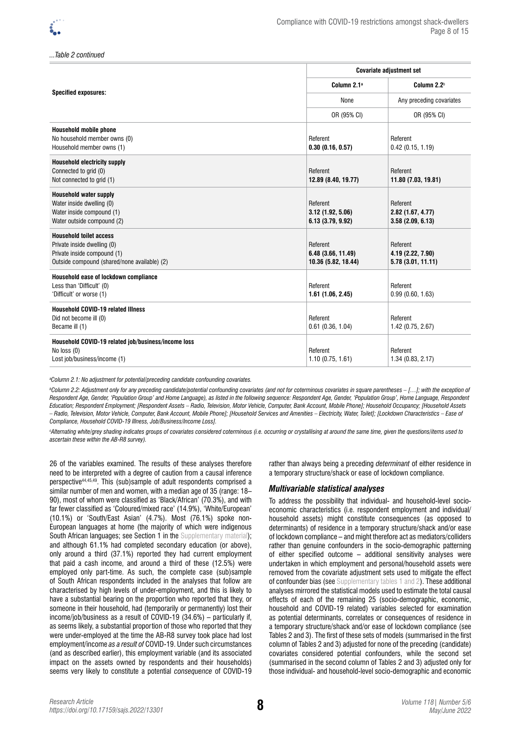*...Table 2 continued*

|                                                                                                                                              | <b>Covariate adjustment set</b>                       |                                                    |  |
|----------------------------------------------------------------------------------------------------------------------------------------------|-------------------------------------------------------|----------------------------------------------------|--|
| <b>Specified exposures:</b>                                                                                                                  | Column 2.1 <sup>a</sup>                               | Column 2.2 <sup>b</sup>                            |  |
|                                                                                                                                              | None                                                  | Any preceding covariates                           |  |
|                                                                                                                                              | OR (95% CI)                                           | OR (95% CI)                                        |  |
| Household mobile phone<br>No household member owns (0)<br>Household member owns (1)                                                          | Referent<br>0.30(0.16, 0.57)                          | Referent<br>0.42(0.15, 1.19)                       |  |
| <b>Household electricity supply</b><br>Connected to grid (0)<br>Not connected to grid (1)                                                    | Referent<br>12.89 (8.40, 19.77)                       | Referent<br>11.80 (7.03, 19.81)                    |  |
| <b>Household water supply</b><br>Water inside dwelling (0)<br>Water inside compound (1)<br>Water outside compound (2)                        | Referent<br>3.12(1.92, 5.06)<br>6.13 (3.79, 9.92)     | Referent<br>2.82(1.67, 4.77)<br>3.58(2.09, 6.13)   |  |
| <b>Household toilet access</b><br>Private inside dwelling (0)<br>Private inside compound (1)<br>Outside compound (shared/none available) (2) | Referent<br>6.48 (3.66, 11.49)<br>10.36 (5.82, 18.44) | Referent<br>4.19 (2.22, 7.90)<br>5.78(3.01, 11.11) |  |
| Household ease of lockdown compliance<br>Less than 'Difficult' (0)<br>'Difficult' or worse (1)                                               | Referent<br>1.61(1.06, 2.45)                          | Referent<br>0.99(0.60, 1.63)                       |  |
| <b>Household COVID-19 related Illness</b><br>Did not become ill (0)<br>Became ill (1)                                                        | Referent<br>$0.61$ (0.36, 1.04)                       | Referent<br>1.42 (0.75, 2.67)                      |  |
| Household COVID-19 related job/business/income loss<br>No $loss(0)$<br>Lost job/business/income (1)                                          | Referent<br>1.10(0.75, 1.61)                          | Referent<br>1.34 (0.83, 2.17)                      |  |

*a Column 2.1: No adjustment for potential/preceding candidate confounding covariates.*

*b Column 2.2: Adjustment only for any preceding candidate/potential confounding covariates (and not for coterminous covariates in square parentheses – […]; with the exception of Respondent Age, Gender, 'Population Group' and Home Language), as listed in the following sequence: Respondent Age, Gender, 'Population Group', Home Language, Respondent Education; Respondent Employment; [Respondent Assets – Radio, Television, Motor Vehicle, Computer, Bank Account, Mobile Phone]; Household Occupancy; [Household Assets – Radio, Television, Motor Vehicle, Computer, Bank Account, Mobile Phone]; [Household Services and Amenities – Electricity, Water, Toilet]; [Lockdown Characteristics – Ease of Compliance, Household COVID-19 Illness, Job/Business/Income Loss].*

*c Alternating white/grey shading indicates groups of covariates considered coterminous (i.e. occurring or crystallising at around the same time, given the questions/items used to ascertain these within the AB-R8 survey).* 

26 of the variables examined. The results of these analyses therefore need to be interpreted with a degree of caution from a causal inference perspective44,45,49. This (sub)sample of adult respondents comprised a similar number of men and women, with a median age of 35 (range: 18– 90), most of whom were classified as 'Black/African' (70.3%), and with far fewer classified as 'Coloured/mixed race' (14.9%), 'White/European' (10.1%) or 'South/East Asian' (4.7%). Most (76.1%) spoke non-European languages at home (the majority of which were indigenous South African languages; see [Section 1 in the Supplementary material\)](https://doi.org/10.17159/sajs.2022/13301/suppl); and although 61.1% had completed secondary education (or above), only around a third (37.1%) reported they had current employment that paid a cash income, and around a third of these (12.5%) were employed only part-time. As such, the complete case (sub)sample of South African respondents included in the analyses that follow are characterised by high levels of under-employment, and this is likely to have a substantial bearing on the proportion who reported that they, or someone in their household, had (temporarily or permanently) lost their income/job/business as a result of COVID-19 (34.6%) – particularly if, as seems likely, a substantial proportion of those who reported that they were under-employed at the time the AB-R8 survey took place had lost employment/income *as a result of* COVID-19. Under such circumstances (and as described earlier), this employment variable (and its associated impact on the assets owned by respondents and their households) seems very likely to constitute a potential *consequence* of COVID-19

rather than always being a preceding *determinant* of either residence in a temporary structure/shack or ease of lockdown compliance.

#### *Multivariable statistical analyses*

To address the possibility that individual- and household-level socioeconomic characteristics (i.e. respondent employment and individual/ household assets) might constitute consequences (as opposed to determinants) of residence in a temporary structure/shack and/or ease of lockdown compliance – and might therefore act as mediators/colliders rather than genuine confounders in the socio-demographic patterning of either specified outcome – additional sensitivity analyses were undertaken in which employment and personal/household assets were removed from the covariate adjustment sets used to mitigate the effect of confounder bias (see [Supplementary tables 1 and 2\)](https://doi.org/10.17159/sajs.2022/13301/suppl). These additional analyses mirrored the statistical models used to estimate the total causal effects of each of the remaining 25 (socio-demographic, economic, household and COVID-19 related) variables selected for examination as potential determinants, correlates or consequences of residence in a temporary structure/shack and/or ease of lockdown compliance (see Tables 2 and 3). The first of these sets of models (summarised in the first column of Tables 2 and 3) adjusted for none of the preceding (candidate) covariates considered potential confounders, while the second set (summarised in the second column of Tables 2 and 3) adjusted only for those individual- and household-level socio-demographic and economic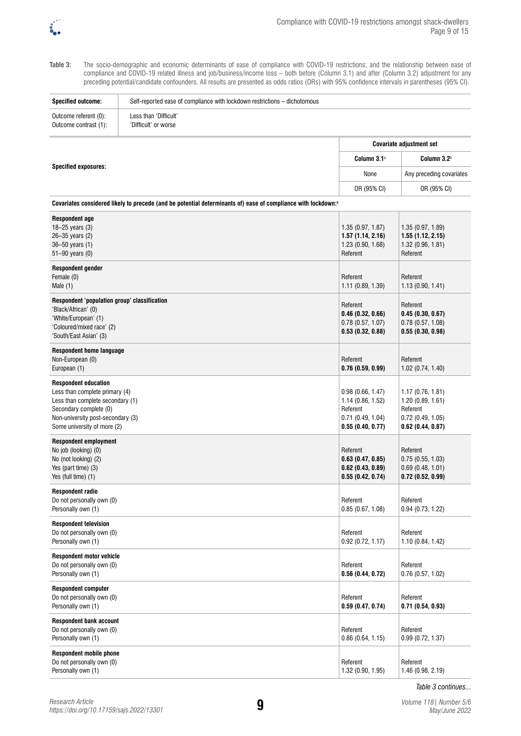

Table 3: The socio-demographic and economic determinants of ease of compliance with COVID-19 restrictions; and the relationship between ease of compliance and COVID-19 related illness and job/business/income loss – both before (Column 3.1) and after (Column 3.2) adjustment for any preceding potential/candidate confounders. All results are presented as odds ratios (ORs) with 95% confidence intervals in parentheses (95% CI).

**Specified outcome:** Self-reported ease of compliance with lockdown restrictions – dichotomous

| Outcome referent (0):<br>Outcome contrast (1):                                                                                                                                                  | Less than 'Difficult'<br>'Difficult' or worse                                                                             |                                                                                              |                                                                                          |
|-------------------------------------------------------------------------------------------------------------------------------------------------------------------------------------------------|---------------------------------------------------------------------------------------------------------------------------|----------------------------------------------------------------------------------------------|------------------------------------------------------------------------------------------|
|                                                                                                                                                                                                 |                                                                                                                           |                                                                                              | <b>Covariate adjustment set</b>                                                          |
|                                                                                                                                                                                                 |                                                                                                                           | Column 3.1 <sup>a</sup>                                                                      | Column 3.2 <sup>b</sup>                                                                  |
| <b>Specified exposures:</b>                                                                                                                                                                     |                                                                                                                           | None                                                                                         | Any preceding covariates                                                                 |
|                                                                                                                                                                                                 |                                                                                                                           | OR (95% CI)                                                                                  | OR (95% CI)                                                                              |
|                                                                                                                                                                                                 | Covariates considered likely to precede (and be potential determinants of) ease of compliance with lockdown: <sup>c</sup> |                                                                                              |                                                                                          |
| <b>Respondent age</b><br>18-25 years (3)<br>26-35 years (2)<br>36-50 years (1)<br>51-90 years (0)                                                                                               |                                                                                                                           | 1.35 (0.97, 1.87)<br>1.57(1.14, 2.16)<br>1.23(0.90, 1.68)<br>Referent                        | 1.35 (0.97, 1.89)<br>1.55(1.12, 2.15)<br>1.32(0.96, 1.81)<br>Referent                    |
| <b>Respondent gender</b><br>Female (0)<br>Male $(1)$                                                                                                                                            |                                                                                                                           | Referent<br>1.11(0.89, 1.39)                                                                 | Referent<br>1.13(0.90, 1.41)                                                             |
| Respondent 'population group' classification<br>'Black/African' (0)<br>'White/European' (1)<br>'Coloured/mixed race' (2)<br>'South/East Asian' (3)                                              |                                                                                                                           | Referent<br>0.46(0.32, 0.66)<br>0.78(0.57, 1.07)<br>0.53(0.32, 0.88)                         | Referent<br>0.45(0.30, 0.67)<br>0.78(0.57, 1.08)<br>0.55(0.30, 0.98)                     |
| <b>Respondent home language</b><br>Non-European (0)<br>European (1)                                                                                                                             |                                                                                                                           | Referent<br>0.76(0.59, 0.99)                                                                 | Referent<br>1.02 (0.74, 1.40)                                                            |
| <b>Respondent education</b><br>Less than complete primary (4)<br>Less than complete secondary (1)<br>Secondary complete (0)<br>Non-university post-secondary (3)<br>Some university of more (2) |                                                                                                                           | 0.98(0.66, 1.47)<br>1.14 (0.86, 1.52)<br>Referent<br>$0.71$ (0.49, 1.04)<br>0.55(0.40, 0.77) | 1.17(0.76, 1.81)<br>1.20(0.89, 1.61)<br>Referent<br>0.72(0.49, 1.05)<br>0.62(0.44, 0.87) |
| <b>Respondent employment</b><br>No job (looking) (0)<br>No (not looking) (2)<br>Yes (part time) (3)<br>Yes (full time) (1)                                                                      |                                                                                                                           | Referent<br>0.63(0.47, 0.85)<br>$0.62$ (0.43, 0.89)<br>0.55(0.42, 0.74)                      | Referent<br>0.75(0.55, 1.03)<br>0.69(0.48, 1.01)<br>0.72(0.52, 0.99)                     |
| <b>Respondent radio</b><br>Do not personally own (0)<br>Personally own (1)                                                                                                                      |                                                                                                                           | Referent<br>0.85(0.67, 1.08)                                                                 | Referent<br>0.94(0.73, 1.22)                                                             |
| <b>Respondent television</b><br>Do not personally own (0)<br>Personally own (1)                                                                                                                 |                                                                                                                           | Referent<br>$0.92$ (0.72, 1.17)                                                              | Referent<br>1.10 (0.84, 1.42)                                                            |
| <b>Respondent motor vehicle</b><br>Do not personally own (0)<br>Personally own (1)                                                                                                              |                                                                                                                           | Referent<br>0.56(0.44, 0.72)                                                                 | Referent<br>$0.76$ (0.57, 1.02)                                                          |
| <b>Respondent computer</b><br>Do not personally own (0)<br>Personally own (1)                                                                                                                   |                                                                                                                           | Referent<br>0.59(0.47, 0.74)                                                                 | Referent<br>0.71(0.54, 0.93)                                                             |
| <b>Respondent bank account</b><br>Do not personally own (0)<br>Personally own (1)                                                                                                               |                                                                                                                           | Referent<br>0.86(0.64, 1.15)                                                                 | Referent<br>0.99(0.72, 1.37)                                                             |
| <b>Respondent mobile phone</b><br>Do not personally own (0)                                                                                                                                     |                                                                                                                           | Referent                                                                                     | Referent                                                                                 |

1.32 (0.90, 1.95)

Personally own (1)

*Table 3 continues...*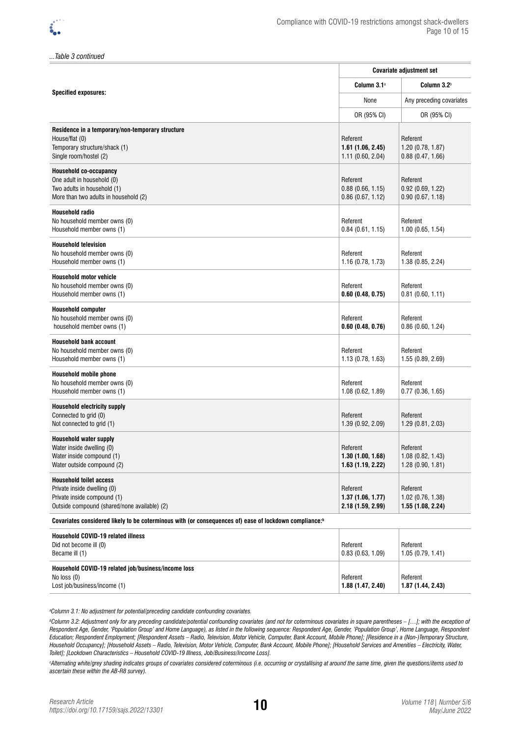*...Table 3 continued*

|                                                                                                                                              | <b>Covariate adjustment set</b>                   |                                                   |  |
|----------------------------------------------------------------------------------------------------------------------------------------------|---------------------------------------------------|---------------------------------------------------|--|
|                                                                                                                                              | Column 3.1 <sup>a</sup>                           | Column 3.2 <sup>b</sup>                           |  |
| <b>Specified exposures:</b>                                                                                                                  | None                                              | Any preceding covariates                          |  |
|                                                                                                                                              | OR (95% CI)                                       | OR (95% CI)                                       |  |
| Residence in a temporary/non-temporary structure<br>House/flat (0)<br>Temporary structure/shack (1)<br>Single room/hostel (2)                | Referent<br>1.61(1.06, 2.45)<br>1.11(0.60, 2.04)  | Referent<br>1.20 (0.78, 1.87)<br>0.88(0.47, 1.66) |  |
| <b>Household co-occupancy</b><br>One adult in household (0)<br>Two adults in household (1)<br>More than two adults in household (2)          | Referent<br>0.88(0.66, 1.15)<br>0.86(0.67, 1.12)  | Referent<br>0.92(0.69, 1.22)<br>0.90(0.67, 1.18)  |  |
| <b>Household radio</b><br>No household member owns (0)<br>Household member owns (1)                                                          | Referent<br>0.84(0.61, 1.15)                      | Referent<br>$1.00$ (0.65, 1.54)                   |  |
| <b>Household television</b><br>No household member owns (0)<br>Household member owns (1)                                                     | Referent<br>1.16(0.78, 1.73)                      | Referent<br>1.38 (0.85, 2.24)                     |  |
| <b>Household motor vehicle</b><br>No household member owns (0)<br>Household member owns (1)                                                  | Referent<br>0.60(0.48, 0.75)                      | Referent<br>$0.81$ (0.60, 1.11)                   |  |
| <b>Household computer</b><br>No household member owns (0)<br>household member owns (1)                                                       | Referent<br>0.60(0.48, 0.76)                      | Referent<br>0.86(0.60, 1.24)                      |  |
| <b>Household bank account</b><br>No household member owns (0)<br>Household member owns (1)                                                   | Referent<br>1.13(0.78, 1.63)                      | Referent<br>1.55 (0.89, 2.69)                     |  |
| <b>Household mobile phone</b><br>No household member owns (0)<br>Household member owns (1)                                                   | Referent<br>1.08(0.62, 1.89)                      | Referent<br>0.77(0.36, 1.65)                      |  |
| <b>Household electricity supply</b><br>Connected to grid (0)<br>Not connected to grid (1)                                                    | Referent<br>1.39(0.92, 2.09)                      | Referent<br>1.29(0.81, 2.03)                      |  |
| <b>Household water supply</b><br>Water inside dwelling (0)<br>Water inside compound (1)<br>Water outside compound (2)                        | Referent<br>1.30(1.00, 1.68)<br>1.63(1.19, 2.22)  | Referent<br>1.08(0.82, 1.43)<br>1.28 (0.90, 1.81) |  |
| <b>Household toilet access</b><br>Private inside dwelling (0)<br>Private inside compound (1)<br>Outside compound (shared/none available) (2) | Referent<br>1.37(1.06, 1.77)<br>2.18 (1.59, 2.99) | Referent<br>1.02(0.76, 1.38)<br>1.55 (1.08, 2.24) |  |
| Covariates considered likely to be coterminous with (or consequences of) ease of lockdown compliance: <sup>b</sup>                           |                                                   |                                                   |  |
| <b>Household COVID-19 related illness</b><br>Did not become ill (0)<br>Became ill (1)                                                        | Referent<br>0.83(0.63, 1.09)                      | Referent<br>1.05 (0.79, 1.41)                     |  |
| Household COVID-19 related job/business/income loss<br>No loss (0)<br>Lost job/business/income (1)                                           | Referent<br>1.88 (1.47, 2.40)                     | Referent<br>1.87 (1.44, 2.43)                     |  |

*a Column 3.1: No adjustment for potential/preceding candidate confounding covariates.* 

*b Column 3.2: Adjustment only for any preceding candidate/potential confounding covariates (and not for coterminous covariates in square parentheses – […]; with the exception of*  Respondent Age, Gender, 'Population Group' and Home Language), as listed in the following sequence: Respondent Age, Gender, 'Population Group', Home Language, Respondent *Education; Respondent Employment; [Respondent Assets – Radio, Television, Motor Vehicle, Computer, Bank Account, Mobile Phone]; [Residence in a (Non-)Temporary Structure, Household Occupancy]; [Household Assets – Radio, Television, Motor Vehicle, Computer, Bank Account, Mobile Phone]; [Household Services and Amenities – Electricity, Water, Toilet]; [Lockdown Characteristics – Household COVID-19 Illness, Job/Business/Income Loss].*

*c Alternating white/grey shading indicates groups of covariates considered coterminous (i.e. occurring or crystallising at around the same time, given the questions/items used to ascertain these within the AB-R8 survey).*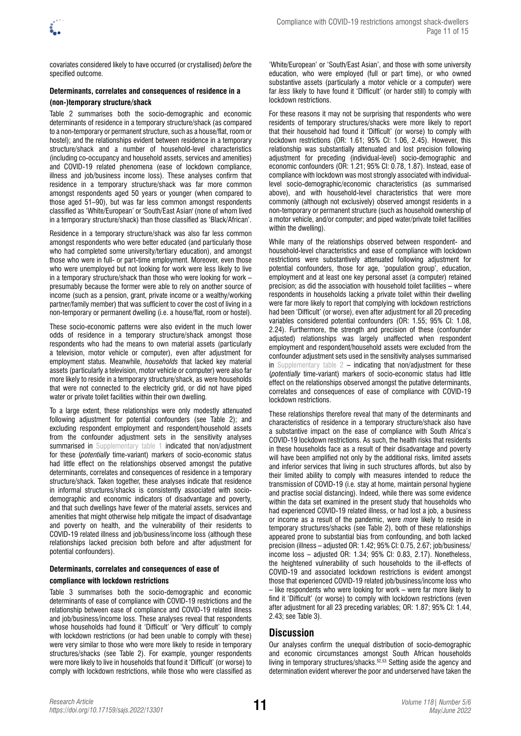

covariates considered likely to have occurred (or crystallised) *before* the specified outcome.

# **Determinants, correlates and consequences of residence in a**

# **(non-)temporary structure/shack**

Table 2 summarises both the socio-demographic and economic determinants of residence in a temporary structure/shack (as compared to a non-temporary or permanent structure, such as a house/flat, room or hostel); and the relationships evident between residence in a temporary structure/shack and a number of household-level characteristics (including co-occupancy and household assets, services and amenities) and COVID-19 related phenomena (ease of lockdown compliance, illness and job/business income loss). These analyses confirm that residence in a temporary structure/shack was far more common amongst respondents aged 50 years or younger (when compared to those aged 51–90), but was far less common amongst respondents classified as 'White/European' or 'South/East Asian' (none of whom lived in a temporary structure/shack) than those classified as 'Black/African'.

Residence in a temporary structure/shack was also far less common amongst respondents who were better educated (and particularly those who had completed some university/tertiary education), and amongst those who were in full- or part-time employment. Moreover, even those who were unemployed but not looking for work were less likely to live in a temporary structure/shack than those who were looking for work – presumably because the former were able to rely on another source of income (such as a pension, grant, private income or a wealthy/working partner/family member) that was sufficient to cover the cost of living in a non-temporary or permanent dwelling (i.e. a house/flat, room or hostel).

These socio-economic patterns were also evident in the much lower odds of residence in a temporary structure/shack amongst those respondents who had the means to own material assets (particularly a television, motor vehicle or computer), even after adjustment for employment status. Meanwhile, *households* that lacked key material assets (particularly a television, motor vehicle or computer) were also far more likely to reside in a temporary structure/shack, as were households that were not connected to the electricity grid, or did not have piped water or private toilet facilities within their own dwelling.

To a large extent, these relationships were only modestly attenuated following adjustment for potential confounders (see Table 2); and excluding respondent employment and respondent/household assets from the confounder adjustment sets in the sensitivity analyses summarised in [Supplementary table 1](https://doi.org/10.17159/sajs.2022/13301/suppl) indicated that non/adjustment for these (*potentially* time-variant) markers of socio-economic status had little effect on the relationships observed amongst the putative determinants, correlates and consequences of residence in a temporary structure/shack. Taken together, these analyses indicate that residence in informal structures/shacks is consistently associated with sociodemographic and economic indicators of disadvantage and poverty, and that such dwellings have fewer of the material assets, services and amenities that might otherwise help mitigate the impact of disadvantage and poverty on health, and the vulnerability of their residents to COVID-19 related illness and job/business/income loss (although these relationships lacked precision both before and after adjustment for potential confounders).

### **Determinants, correlates and consequences of ease of compliance with lockdown restrictions**

Table 3 summarises both the socio-demographic and economic determinants of ease of compliance with COVID-19 restrictions and the relationship between ease of compliance and COVID-19 related illness and job/business/income loss. These analyses reveal that respondents whose households had found it 'Difficult' or 'Very difficult' to comply with lockdown restrictions (or had been unable to comply with these) were very similar to those who were more likely to reside in temporary structures/shacks (see Table 2). For example, younger respondents were more likely to live in households that found it 'Difficult' (or worse) to comply with lockdown restrictions, while those who were classified as

'White/European' or 'South/East Asian', and those with some university education, who were employed (full or part time), or who owned substantive assets (particularly a motor vehicle or a computer) were far *less* likely to have found it 'Difficult' (or harder still) to comply with lockdown restrictions.

For these reasons it may not be surprising that respondents who were residents of temporary structures/shacks were more likely to report that their household had found it 'Difficult' (or worse) to comply with lockdown restrictions (OR: 1.61; 95% CI: 1.06, 2.45). However, this relationship was substantially attenuated and lost precision following adjustment for preceding (individual-level) socio-demographic and economic confounders (OR: 1.21; 95% CI: 0.78, 1.87). Instead, ease of compliance with lockdown was most strongly associated with individuallevel socio-demographic/economic characteristics (as summarised above), and with household-level characteristics that were more commonly (although not exclusively) observed amongst residents in a non-temporary or permanent structure (such as household ownership of a motor vehicle, and/or computer; and piped water/private toilet facilities within the dwelling).

While many of the relationships observed between respondent- and household-level characteristics and ease of compliance with lockdown restrictions were substantively attenuated following adjustment for potential confounders, those for age, 'population group', education, employment and at least one key personal asset (a computer) retained precision; as did the association with household toilet facilities – where respondents in households lacking a private toilet within their dwelling were far more likely to report that complying with lockdown restrictions had been 'Difficult' (or worse), even after adjustment for all 20 preceding variables considered potential confounders (OR: 1.55; 95% CI: 1.08, 2.24). Furthermore, the strength and precision of these (confounder adjusted) relationships was largely unaffected when respondent employment and respondent/household assets were excluded from the confounder adjustment sets used in the sensitivity analyses summarised in Supplementary table  $2$  – indicating that non/adjustment for these (*potentially* time-variant) markers of socio-economic status had little effect on the relationships observed amongst the putative determinants, correlates and consequences of ease of compliance with COVID-19 lockdown restrictions.

These relationships therefore reveal that many of the determinants and characteristics of residence in a temporary structure/shack also have a substantive impact on the ease of compliance with South Africa's COVID-19 lockdown restrictions. As such, the health risks that residents in these households face as a result of their disadvantage and poverty will have been amplified not only by the additional risks, limited assets and inferior services that living in such structures affords, but also by their limited ability to comply with measures intended to reduce the transmission of COVID-19 (i.e. stay at home, maintain personal hygiene and practise social distancing). Indeed, while there was some evidence within the data set examined in the present study that households who had experienced COVID-19 related illness, or had lost a job, a business or income as a result of the pandemic, were *more* likely to reside in temporary structures/shacks (see Table 2), both of these relationships appeared prone to substantial bias from confounding, and both lacked precision (illness – adjusted OR: 1.42; 95% CI: 0.75, 2.67; job/business/ income loss – adjusted OR: 1.34; 95% CI: 0.83, 2.17). Nonetheless, the heightened vulnerability of such households to the ill-effects of COVID-19 and associated lockdown restrictions is evident amongst those that experienced COVID-19 related job/business/income loss who – like respondents who were looking for work – were far more likely to find it 'Difficult' (or worse) to comply with lockdown restrictions (even after adjustment for all 23 preceding variables; OR: 1.87; 95% CI: 1.44, 2.43; see Table 3).

### **Discussion**

Our analyses confirm the unequal distribution of socio-demographic and economic circumstances amongst South African households living in temporary structures/shacks.52,53 Setting aside the agency and determination evident wherever the poor and underserved have taken the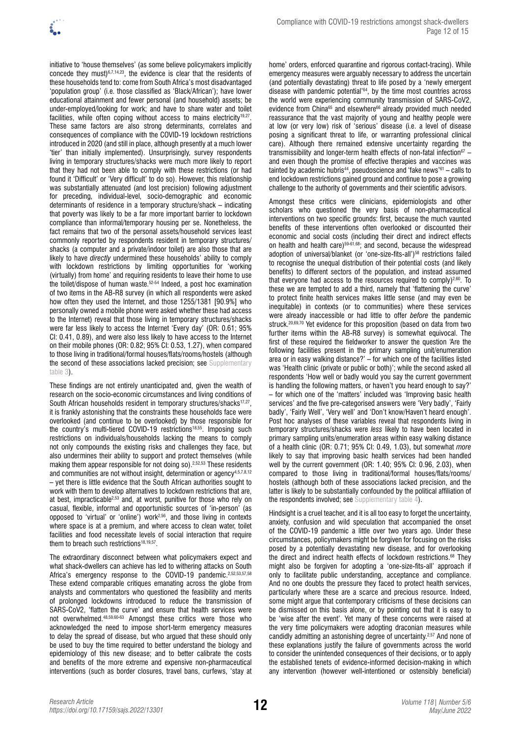

initiative to 'house themselves' (as some believe policymakers implicitly concede they must)6,7,14,23, the evidence is clear that the residents of these households tend to: come from South Africa's most disadvantaged 'population group' (i.e. those classified as 'Black/African'); have lower educational attainment and fewer personal (and household) assets; be under-employed/looking for work; and have to share water and toilet facilities, while often coping without access to mains electricity<sup>19,27</sup>. These same factors are also strong determinants, correlates and consequences of compliance with the COVID-19 lockdown restrictions introduced in 2020 (and still in place, although presently at a much lower 'tier' than initially implemented). Unsurprisingly, survey respondents living in temporary structures/shacks were much more likely to report that they had not been able to comply with these restrictions (or had found it 'Difficult' or 'Very difficult' to do so). However, this relationship was substantially attenuated (and lost precision) following adjustment for preceding, individual-level, socio-demographic and economic determinants of residence in a temporary structure/shack – indicating that poverty was likely to be a far more important barrier to lockdown compliance than informal/temporary housing per se. Nonetheless, the fact remains that two of the personal assets/household services least commonly reported by respondents resident in temporary structures/ shacks (a computer and a private/indoor toilet) are also those that are likely to have *directly* undermined these households' ability to comply with lockdown restrictions by limiting opportunities for 'working (virtually) from home' and requiring residents to leave their home to use the toilet/dispose of human waste.52-54 Indeed, a post hoc examination of two items in the AB-R8 survey (in which all respondents were asked how often they used the Internet, and those 1255/1381 [90.9%] who personally owned a mobile phone were asked whether these had access to the Internet) reveal that those living in temporary structures/shacks were far less likely to access the Internet 'Every day' (OR: 0.61; 95% CI: 0.41, 0.89), and were also less likely to have access to the Internet on their mobile phones (OR: 0.82; 95% CI: 0.53, 1.27), when compared to those living in traditional/formal houses/flats/rooms/hostels (although the second of these associations lacked precision; see [Supplementary](https://doi.org/10.17159/sajs.2022/13301/suppl)  [table 3](https://doi.org/10.17159/sajs.2022/13301/suppl)).

These findings are not entirely unanticipated and, given the wealth of research on the socio-economic circumstances and living conditions of South African households resident in temporary structures/shacks<sup>17,27</sup>, it is frankly astonishing that the constraints these households face were overlooked (and continue to be overlooked) by those responsible for the country's multi-tiered COVID-19 restrictions<sup>18,55</sup>. Imposing such restrictions on individuals/households lacking the means to comply not only compounds the existing risks and challenges they face, but also undermines their ability to support and protect themselves (while making them appear responsible for not doing so).2,52,53 These residents and communities are not without insight, determination or agency $4,5,7,8,12$ – yet there is little evidence that the South African authorities sought to work with them to develop alternatives to lockdown restrictions that are, at best, impracticable2,53 and, at worst, punitive for those who rely on casual, flexible, informal and opportunistic sources of 'in-person' (as opposed to 'virtual' or 'online') work2,56, and those living in contexts where space is at a premium, and where access to clean water, toilet facilities and food necessitate levels of social interaction that require them to breach such restrictions<sup>18,19,57</sup>.

The extraordinary disconnect between what policymakers expect and what shack-dwellers can achieve has led to withering attacks on South Africa's emergency response to the COVID-19 pandemic.<sup>2,52,53,57,58</sup> These extend comparable critiques emanating across the globe from analysts and commentators who questioned the feasibility and merits of prolonged lockdowns introduced to reduce the transmission of SARS-CoV2, 'flatten the curve' and ensure that health services were not overwhelmed. 48,59,60-63 Amongst these critics were those who acknowledged the need to impose short-term emergency measures to delay the spread of disease, but who argued that these should only be used to buy the time required to better understand the biology and epidemiology of this new disease; and to better calibrate the costs and benefits of the more extreme and expensive non-pharmaceutical interventions (such as border closures, travel bans, curfews, 'stay at

home' orders, enforced quarantine and rigorous contact-tracing). While emergency measures were arguably necessary to address the uncertain (and potentially devastating) threat to life posed by a 'newly emergent disease with pandemic potential'64, by the time most countries across the world were experiencing community transmission of SARS-CoV2, evidence from China<sup>65</sup> and elsewhere<sup>66</sup> already provided much needed reassurance that the vast majority of young and healthy people were at low (or very low) risk of 'serious' disease (i.e. a level of disease posing a significant threat to life, or warranting professional clinical care). Although there remained extensive uncertainty regarding the transmissibility and longer-term health effects of non-fatal infection<sup>67</sup> – and even though the promise of effective therapies and vaccines was tainted by academic hubris<sup>44</sup>, pseudoscience and 'fake news'<sup>61</sup> - calls to end lockdown restrictions gained ground and continue to pose a growing challenge to the authority of governments and their scientific advisors.

Amongst these critics were clinicians, epidemiologists and other scholars who questioned the very basis of non-pharmaceutical interventions on two specific grounds: first, because the much vaunted benefits of these interventions often overlooked or discounted their economic and social costs (including their direct and indirect effects on health and health care)<sup>59-61,68</sup>; and second, because the widespread adoption of universal/blanket (or 'one-size-fits-all')<sup>58</sup> restrictions failed to recognise the unequal distribution of their potential costs (and likely benefits) to different sectors of the population, and instead assumed that everyone had access to the resources required to comply $2,60$ . To these we are tempted to add a third, namely that 'flattening the curve' to protect finite health services makes little sense (and may even be inequitable) in contexts (or to communities) where these services were already inaccessible or had little to offer *before* the pandemic struck.<sup>20,69,70</sup> Yet evidence for this proposition (based on data from two further items within the AB-R8 survey) is somewhat equivocal. The first of these required the fieldworker to answer the question 'Are the following facilities present in the primary sampling unit/enumeration area or in easy walking distance?' – for which one of the facilities listed was 'Health clinic (private or public or both)'; while the second asked all respondents 'How well or badly would you say the current government is handling the following matters, or haven't you heard enough to say?' – for which one of the 'matters' included was 'Improving basic health services' and the five pre-categorised answers were 'Very badly', 'Fairly badly', 'Fairly Well', 'Very well' and 'Don't know/Haven't heard enough'. Post hoc analyses of these variables reveal that respondents living in temporary structures/shacks were *less* likely to have been located in primary sampling units/enumeration areas within easy walking distance of a health clinic (OR: 0.71; 95% CI: 0.49, 1.03), but somewhat *more* likely to say that improving basic health services had been handled well by the current government (OR: 1.40; 95% CI: 0.96, 2.03), when compared to those living in traditional/formal houses/flats/rooms/ hostels (although both of these associations lacked precision, and the latter is likely to be substantially confounded by the political affiliation of the respondents involved; see [Supplementary table 4\)](https://doi.org/10.17159/sajs.2022/13301/suppl).

Hindsight is a cruel teacher, and it is all too easy to forget the uncertainty, anxiety, confusion and wild speculation that accompanied the onset of the COVID-19 pandemic a little over two years ago. Under these circumstances, policymakers might be forgiven for focusing on the risks posed by a potentially devastating new disease, and for overlooking the direct and indirect health effects of lockdown restrictions.<sup>68</sup> They might also be forgiven for adopting a 'one-size-fits-all' approach if only to facilitate public understanding, acceptance and compliance. And no one doubts the pressure they faced to protect health services, particularly where these are a scarce and precious resource. Indeed, some might argue that contemporary criticisms of these decisions can be dismissed on this basis alone, or by pointing out that it is easy to be 'wise after the event'. Yet many of these concerns were raised at the very time policymakers were adopting draconian measures while candidly admitting an astonishing degree of uncertainty.<sup>2,57</sup> And none of these explanations justify the failure of governments across the world to consider the unintended consequences of their decisions, or to apply the established tenets of evidence-informed decision-making in which any intervention (however well-intentioned or ostensibly beneficial)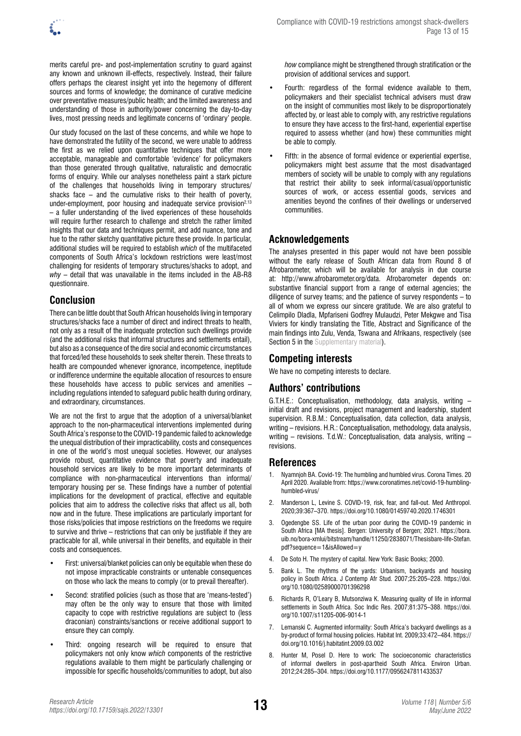merits careful pre- and post-implementation scrutiny to guard against any known and unknown ill-effects, respectively. Instead, their failure offers perhaps the clearest insight yet into the hegemony of different sources and forms of knowledge; the dominance of curative medicine over preventative measures/public health; and the limited awareness and understanding of those in authority/power concerning the day-to-day lives, most pressing needs and legitimate concerns of 'ordinary' people.

Our study focused on the last of these concerns, and while we hope to have demonstrated the futility of the second, we were unable to address the first as we relied upon quantitative techniques that offer more acceptable, manageable and comfortable 'evidence' for policymakers than those generated through qualitative, naturalistic and democratic forms of enquiry. While our analyses nonetheless paint a stark picture of the challenges that households living in temporary structures/ shacks face – and the cumulative risks to their health of poverty, under-employment, poor housing and inadequate service provision<sup>2,13</sup> – a fuller understanding of the lived experiences of these households will require further research to challenge and stretch the rather limited insights that our data and techniques permit, and add nuance, tone and hue to the rather sketchy quantitative picture these provide. In particular, additional studies will be required to establish *which* of the multifaceted components of South Africa's lockdown restrictions were least/most challenging for residents of temporary structures/shacks to adopt, and *why* – detail that was unavailable in the items included in the AB-R8 questionnaire.

# **Conclusion**

There can be little doubt that South African households living in temporary structures/shacks face a number of direct and indirect threats to health, not only as a result of the inadequate protection such dwellings provide (and the additional risks that informal structures and settlements entail), but also as a consequence of the dire social and economic circumstances that forced/led these households to seek shelter therein. These threats to health are compounded whenever ignorance, incompetence, ineptitude or indifference undermine the equitable allocation of resources to ensure these households have access to public services and amenities – including regulations intended to safeguard public health during ordinary, and extraordinary, circumstances.

We are not the first to argue that the adoption of a universal/blanket approach to the non-pharmaceutical interventions implemented during South Africa's response to the COVID-19 pandemic failed to acknowledge the unequal distribution of their impracticability, costs and consequences in one of the world's most unequal societies. However, our analyses provide robust, quantitative evidence that poverty and inadequate household services are likely to be more important determinants of compliance with non-pharmaceutical interventions than informal/ temporary housing per se. These findings have a number of potential implications for the development of practical, effective and equitable policies that aim to address the collective risks that affect us all, both now and in the future. These implications are particularly important for those risks/policies that impose restrictions on the freedoms we require to survive and thrive – restrictions that can only be justifiable if they are practicable for all, while universal in their benefits, and equitable in their costs and consequences.

- First: universal/blanket policies can only be equitable when these do not impose impracticable constraints or untenable consequences on those who lack the means to comply (or to prevail thereafter).
- Second: stratified policies (such as those that are 'means-tested') may often be the only way to ensure that those with limited capacity to cope with restrictive regulations are subject to (less draconian) constraints/sanctions or receive additional support to ensure they can comply.
- Third: ongoing research will be required to ensure that policymakers not only know *which* components of the restrictive regulations available to them might be particularly challenging or impossible for specific households/communities to adopt, but also

*how* compliance might be strengthened through stratification or the provision of additional services and support.

- Fourth: regardless of the formal evidence available to them, policymakers and their specialist technical advisers must draw on the insight of communities most likely to be disproportionately affected by, or least able to comply with, any restrictive regulations to ensure they have access to the first-hand, experiential expertise required to assess whether (and how) these communities might be able to comply.
- Fifth: in the absence of formal evidence or experiential expertise, policymakers might best *assume* that the most disadvantaged members of society will be unable to comply with any regulations that restrict their ability to seek informal/casual/opportunistic sources of work, or access essential goods, services and amenities beyond the confines of their dwellings or underserved communities.

# **Acknowledgements**

The analyses presented in this paper would not have been possible without the early release of South African data from Round 8 of Afrobarometer, which will be available for analysis in due course at: <http://www.afrobarometer.org/data>. Afrobarometer depends on: substantive financial support from a range of external agencies; the diligence of survey teams; and the patience of survey respondents – to all of whom we express our sincere gratitude. We are also grateful to Celimpilo Dladla, Mpfariseni Godfrey Mulaudzi, Peter Mekgwe and Tisa Viviers for kindly translating the Title, Abstract and Significance of the main findings into Zulu, Venda, Tswana and Afrikaans, respectively (see [Section 5 in the Supplementary material](https://doi.org/10.17159/sajs.2022/13301/suppl)).

# **Competing interests**

We have no competing interests to declare.

# **Authors' contributions**

G.T.H.E.: Conceptualisation, methodology, data analysis, writing – initial draft and revisions, project management and leadership, student supervision. R.B.M.: Conceptualisation, data collection, data analysis, writing – revisions. H.R.: Conceptualisation, methodology, data analysis, writing – revisions. T.d.W.: Conceptualisation, data analysis, writing – revisions.

### **References**

- 1. Nyamnjoh BA. Covid-19: The humbling and humbled virus. Corona Times. 20 April 2020. Available from: [https://www.coronatimes.net/covid-19-humbling](https://www.coronatimes.net/covid-19-humbling-humbled-virus/)[humbled-virus/](https://www.coronatimes.net/covid-19-humbling-humbled-virus/)
- 2. Manderson L, Levine S. COVID-19, risk, fear, and fall-out. Med Anthropol. 2020;39:367–370. <https://doi.org/10.1080/01459740.2020.1746301>
- 3. Ogedengbe SS. Life of the urban poor during the COVID-19 pandemic in South Africa [MA thesis]. Bergen: University of Bergen; 2021. [https://bora.](https://bora.uib.no/bora-xmlui/bitstream/handle/11250/2838071/Thesisbare-life-Stefan.pdf?sequence=1&isAllowed=y) [uib.no/bora-xmlui/bitstream/handle/11250/2838071/Thesisbare-life-Stefan.](https://bora.uib.no/bora-xmlui/bitstream/handle/11250/2838071/Thesisbare-life-Stefan.pdf?sequence=1&isAllowed=y) [pdf?sequence=1&isAllowed=y](https://bora.uib.no/bora-xmlui/bitstream/handle/11250/2838071/Thesisbare-life-Stefan.pdf?sequence=1&isAllowed=y)
- 4. De Soto H. The mystery of capital. New York: Basic Books; 2000.
- 5. Bank L. The rhythms of the yards: Urbanism, backyards and housing policy in South Africa. J Contemp Afr Stud. 2007;25:205–228. [https://doi.](https://doi.org/10.1080/02589000701396298) [org/10.1080/02589000701396298](https://doi.org/10.1080/02589000701396298)
- 6. Richards R, O'Leary B, Mutsonziwa K. Measuring quality of life in informal settlements in South Africa. Soc Indic Res. 2007;81:375–388. [https://doi.](https://doi.org/10.1007/s11205-006-9014-1) [org/10.1007/s11205-006-9014-1](https://doi.org/10.1007/s11205-006-9014-1)
- 7. Lemanski C. Augmented informality: South Africa's backyard dwellings as a by-product of formal housing policies. Habitat Int. 2009;33:472–484. [https://](https://doi.org/10.1016/j.habitatint.2009.03.002) [doi.org/10.1016/j.habitatint.2009.03.002](https://doi.org/10.1016/j.habitatint.2009.03.002)
- 8. Hunter M, Posel D. Here to work: The socioeconomic characteristics of informal dwellers in post-apartheid South Africa. Environ Urban. 2012;24:285–304. <https://doi.org/10.1177/0956247811433537>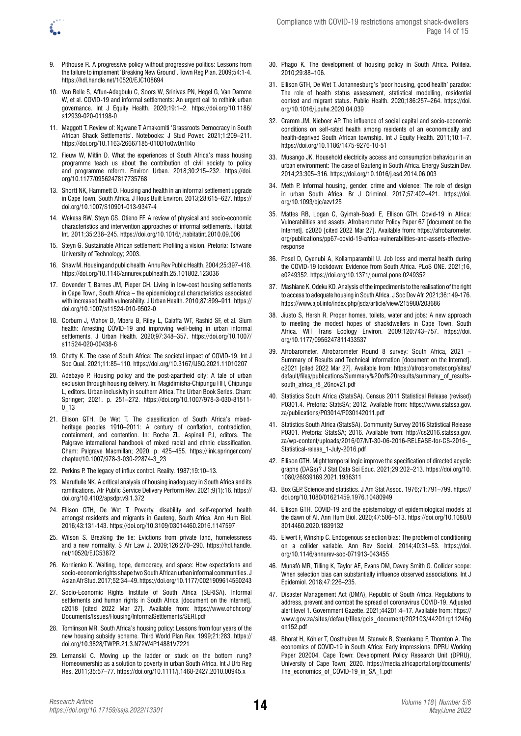- 9. Pithouse R. A progressive policy without progressive politics: Lessons from the failure to implement 'Breaking New Ground'. Town Reg Plan. 2009;54:1‑4. <https://hdl.handle.net/10520/EJC108694>
- 10. Van Belle S, Affun-Adegbulu C, Soors W, Srinivas PN, Hegel G, Van Damme W, et al. COVID-19 and informal settlements: An urgent call to rethink urban governance. Int J Equity Health. 2020;19:1–2. [https://doi.org/10.1186/](https://doi.org/10.1186/s12939-020-01198-0) [s12939-020-01198-0](https://doi.org/10.1186/s12939-020-01198-0)
- 11. Maggott T. Review of: Ngwane T Amakomiti 'Grassroots Democracy in South African Shack Settlements'. Notebooks: J Stud Power. 2021;1:209–211. <https://doi.org/10.1163/26667185-010D1o0w0n1l4o>
- 12. Fieuw W, Mitlin D. What the experiences of South Africa's mass housing programme teach us about the contribution of civil society to policy and programme reform. Environ Urban. 2018;30:215–232. [https://doi.](https://doi.org/10.1177/0956247817735768) [org/10.1177/0956247817735768](https://doi.org/10.1177/0956247817735768)
- 13. Shortt NK, Hammett D. Housing and health in an informal settlement upgrade in Cape Town, South Africa. J Hous Built Environ. 2013;28:615–627. [https://](https://doi.org/10.1007/S10901-013-9347-4) [doi.org/10.1007/S10901-013-9347-4](https://doi.org/10.1007/S10901-013-9347-4)
- 14. Wekesa BW, Steyn GS, Otieno FF. A review of physical and socio-economic characteristics and intervention approaches of informal settlements. Habitat Int. 2011;35:238–245. <https://doi.org/10.1016/j.habitatint.2010.09.006>
- 15. Steyn G. Sustainable African settlement: Profiling a vision. Pretoria: Tshwane University of Technology; 2003.
- 16. Shaw M. Housing and public health. Annu Rev Public Health. 2004;25:397‑418. <https://doi.org/10.1146/annurev.publhealth.25.101802.123036>
- 17. Govender T, Barnes JM, Pieper CH. Living in low-cost housing settlements in Cape Town, South Africa – the epidemiological characteristics associated with increased health vulnerability. J Urban Health. 2010;87:899–911. [https://](https://doi.org/10.1007/s11524-010-9502-0) [doi.org/10.1007/s11524-010-9502-0](https://doi.org/10.1007/s11524-010-9502-0)
- 18. Corburn J, Vlahov D, Mberu B, Riley L, Caiaffa WT, Rashid SF, et al. Slum health: Arresting COVID-19 and improving well-being in urban informal settlements. J Urban Health. 2020;97:348–357. [https://doi.org/10.1007/](https://doi.org/10.1007/s11524-020-00438-6) [s11524-020-00438-6](https://doi.org/10.1007/s11524-020-00438-6)
- 19. Chetty K. The case of South Africa: The societal impact of COVID-19. Int J Soc Qual. 2021;11:85–110.<https://doi.org/10.3167/IJSQ.2021.11010207>
- 20. Adebayo P. Housing policy and the post-apartheid city: A tale of urban exclusion through housing delivery. In: Magidimisha-Chipungu HH, Chipungu L, editors. Urban inclusivity in southern Africa. The Urban Book Series. Cham: Springer; 2021. p. 251–272. [https://doi.org/10.1007/978-3-030-81511-](https://doi.org/10.1007/978-3-030-81511-0_13) [0\\_13](https://doi.org/10.1007/978-3-030-81511-0_13)
- 21. Ellison GTH, De Wet T. The classification of South Africa's mixedheritage peoples 1910–2011: A century of conflation, contradiction, containment, and contention. In: Rocha ZL, Aspinall PJ, editors. The Palgrave international handbook of mixed racial and ethnic classification. Cham: Palgrave Macmillan; 2020. p. 425–455. [https://link.springer.com/](https://link.springer.com/chapter/10.1007/978-3-030-22874-3_23) [chapter/10.1007/978-3-030-22874-3\\_23](https://link.springer.com/chapter/10.1007/978-3-030-22874-3_23)
- 22. Perkins P. The legacy of influx control. Reality. 1987;19:10–13.
- 23. Marutlulle NK. A critical analysis of housing inadequacy in South Africa and its ramifications. Afr Public Service Delivery Perform Rev. 2021;9(1):16. [https://](https://doi.org/10.4102/apsdpr.v9i1.372) [doi.org/10.4102/apsdpr.v9i1.372](https://doi.org/10.4102/apsdpr.v9i1.372)
- 24. Ellison GTH, De Wet T. Poverty, disability and self-reported health amongst residents and migrants in Gauteng, South Africa. Ann Hum Biol. 2016;43:131‑143.<https://doi.org/10.3109/03014460.2016.1147597>
- 25. Wilson S. Breaking the tie: Evictions from private land, homelessness and a new normality. S Afr Law J. 2009;126:270–290. [https://hdl.handle.](https://hdl.handle.net/10520/EJC53872) [net/10520/EJC53872](https://hdl.handle.net/10520/EJC53872)
- 26. Kornienko K. Waiting, hope, democracy, and space: How expectations and socio-economic rights shape two South African urban informal communities. J Asian Afr Stud. 2017;52:34–49.<https://doi.org/10.1177/0021909614560243>
- 27. Socio-Economic Rights Institute of South Africa (SERISA). Informal settlements and human rights in South Africa [document on the Internet]. c2018 [cited 2022 Mar 27]. Available from: [https://www.ohchr.org/](https://www.ohchr.org/Documents/Issues/Housing/InformalSettlements/SERI.pdf) [Documents/Issues/Housing/InformalSettlements/SERI.pdf](https://www.ohchr.org/Documents/Issues/Housing/InformalSettlements/SERI.pdf)
- 28. Tomlinson MR. South Africa's housing policy: Lessons from four years of the new housing subsidy scheme. Third World Plan Rev. 1999;21:283. [https://](https://doi.org/10.3828/TWPR.21.3.N72W4P14881V7221) [doi.org/10.3828/TWPR.21.3.N72W4P14881V7221](https://doi.org/10.3828/TWPR.21.3.N72W4P14881V7221)
- 29. Lemanski C. Moving up the ladder or stuck on the bottom rung? Homeownership as a solution to poverty in urban South Africa. Int J Urb Reg Res. 2011;35:57–77. <https://doi.org/10.1111/j.1468-2427.2010.00945.x>
- 30. Phago K. The development of housing policy in South Africa. Politeia. 2010;29:88–106.
- 31. Ellison GTH, De Wet T. Johannesburg's 'poor housing, good health' paradox: The role of health status assessment, statistical modelling, residential context and migrant status. Public Health. 2020;186:257–264. [https://doi.](https://doi.org/10.1016/j.puhe.2020.04.039) [org/10.1016/j.puhe.2020.04.039](https://doi.org/10.1016/j.puhe.2020.04.039)
- 32. Cramm JM, Nieboer AP. The influence of social capital and socio-economic conditions on self-rated health among residents of an economically and health-deprived South African township. Int J Equity Health. 2011;10:1–7. <https://doi.org/10.1186/1475-9276-10-51>
- 33. Musango JK. Household electricity access and consumption behaviour in an urban environment: The case of Gauteng in South Africa. Energy Sustain Dev. 2014;23:305–316. <https://doi.org/10.1016/j.esd.2014.06.003>
- 34. Meth P. Informal housing, gender, crime and violence: The role of design in urban South Africa. Br J Criminol. 2017;57:402–421. [https://doi.](https://doi.org/10.1093/bjc/azv125) [org/10.1093/bjc/azv125](https://doi.org/10.1093/bjc/azv125)
- 35. Mattes RB, Logan C, Gyimah-Boadi E, Ellison GTH. Covid-19 in Africa: Vulnerabilities and assets. Afrobarometer Policy Paper 67 [document on the Internet]. c2020 [cited 2022 Mar 27]. Available from: [https://afrobarometer.](https://afrobarometer.org/publications/pp67-covid-19-africa-vulnerabilities-and-assets-effective-response) [org/publications/pp67-covid-19-africa-vulnerabilities-and-assets-effective](https://afrobarometer.org/publications/pp67-covid-19-africa-vulnerabilities-and-assets-effective-response)[response](https://afrobarometer.org/publications/pp67-covid-19-africa-vulnerabilities-and-assets-effective-response)
- 36. Posel D, Oyenubi A, Kollamparambil U. Job loss and mental health during the COVID-19 lockdown: Evidence from South Africa. PLoS ONE. 2021;16, e0249352. <https://doi.org/10.1371/journal.pone.0249352>
- 37. Mashiane K, Odeku KO. Analysis of the impediments to the realisation of the right to access to adequate housing in South Africa. J Soc Dev Afr. 2021;36:149-176. <https://www.ajol.info/index.php/jsda/article/view/215980/203686>
- 38. Jiusto S, Hersh R. Proper homes, toilets, water and jobs: A new approach to meeting the modest hopes of shackdwellers in Cape Town, South Africa. WIT Trans Ecology Environ. 2009;120:743–757. [https://doi.](https://doi.org/10.1177/0956247811433537) [org/10.1177/0956247811433537](https://doi.org/10.1177/0956247811433537)
- 39. Afrobarometer. Afrobarometer Round 8 survey: South Africa, 2021 Summary of Results and Technical Information [document on the Internet]. c2021 [cited 2022 Mar 27]. Available from: [https://afrobarometer.org/sites/](https://afrobarometer.org/sites/default/files/publications/Summary%20of%20results/summary_of_results-south_africa_r8_26nov21.pdf) [default/files/publications/Summary%20of%20results/summary\\_of\\_results](https://afrobarometer.org/sites/default/files/publications/Summary%20of%20results/summary_of_results-south_africa_r8_26nov21.pdf)[south\\_africa\\_r8\\_26nov21.pdf](https://afrobarometer.org/sites/default/files/publications/Summary%20of%20results/summary_of_results-south_africa_r8_26nov21.pdf)
- 40. Statistics South Africa (StatsSA). Census 2011 Statistical Release (revised) P0301.4. Pretoria: StatsSA; 2012. Available from: [https://www.statssa.gov.](https://www.statssa.gov.za/publications/P03014/P030142011.pdf) [za/publications/P03014/P030142011.pdf](https://www.statssa.gov.za/publications/P03014/P030142011.pdf)
- 41. Statistics South Africa (StatsSA). Community Survey 2016 Statistical Release P0301. Pretoria: StatsSA; 2016. Available from: [http://cs2016.statssa.gov.](http://cs2016.statssa.gov.za/wp-content/uploads/2016/07/NT-30-06-2016-RELEASE-for-CS-2016-_Statistical-releas_1-July-2016.pdf) [za/wp-content/uploads/2016/07/NT-30-06-2016-RELEASE-for-CS-2016-\\_](http://cs2016.statssa.gov.za/wp-content/uploads/2016/07/NT-30-06-2016-RELEASE-for-CS-2016-_Statistical-releas_1-July-2016.pdf) [Statistical-releas\\_1-July-2016.pdf](http://cs2016.statssa.gov.za/wp-content/uploads/2016/07/NT-30-06-2016-RELEASE-for-CS-2016-_Statistical-releas_1-July-2016.pdf)
- 42. Ellison GTH. Might temporal logic improve the specification of directed acyclic graphs (DAGs)? J Stat Data Sci Educ. 2021;29:202–213. [https://doi.org/10.](https://doi.org/10.1080/26939169.2021.1936311) [1080/26939169.2021.1936311](https://doi.org/10.1080/26939169.2021.1936311)
- 43. Box GEP. Science and statistics. J Am Stat Assoc. 1976;71:791–799. [https://](https://doi.org/10.1080/01621459.1976.10480949) [doi.org/10.1080/01621459.1976.10480949](https://doi.org/10.1080/01621459.1976.10480949)
- 44. Ellison GTH. COVID-19 and the epistemology of epidemiological models at the dawn of AI. Ann Hum Biol. 2020;47:506–513. [https://doi.org/10.1080/0](https://doi.org/10.1080/03014460.2020.1839132) [3014460.2020.1839132](https://doi.org/10.1080/03014460.2020.1839132)
- 45. Elwert F, Winship C. Endogenous selection bias: The problem of conditioning on a collider variable. Ann Rev Sociol. 2014;40:31–53. [https://doi.](https://doi.org/10.1146/annurev-soc-071913-043455) [org/10.1146/annurev-soc-071913-043455](https://doi.org/10.1146/annurev-soc-071913-043455)
- 46. Munafò MR, Tilling K, Taylor AE, Evans DM, Davey Smith G. Collider scope: When selection bias can substantially influence observed associations. Int J Epidemiol. 2018;47:226–235.
- 47. Disaster Management Act (DMA), Republic of South Africa. Regulations to address, prevent and combat the spread of coronavirus COVID-19. Adjusted alert level 1. Government Gazette. 2021;44201:4–17. Available from: [https://](https://www.gov.za/sites/default/files/gcis_document/202103/44201rg11246gon152.pdf) [www.gov.za/sites/default/files/gcis\\_document/202103/44201rg11246g](https://www.gov.za/sites/default/files/gcis_document/202103/44201rg11246gon152.pdf) [on152.pdf](https://www.gov.za/sites/default/files/gcis_document/202103/44201rg11246gon152.pdf)
- 48. Bhorat H, Köhler T, Oosthuizen M, Stanwix B, Steenkamp F, Thornton A. The economics of COVID-19 in South Africa: Early impressions. DPRU Working Paper 202004. Cape Town: Development Policy Research Unit (DPRU), University of Cape Town; 2020. [https://media.africaportal.org/documents/](https://media.africaportal.org/documents/The_economics_of_COVID-19_in_SA_1.pdf) [The\\_economics\\_of\\_COVID-19\\_in\\_SA\\_1.pdf](https://media.africaportal.org/documents/The_economics_of_COVID-19_in_SA_1.pdf)